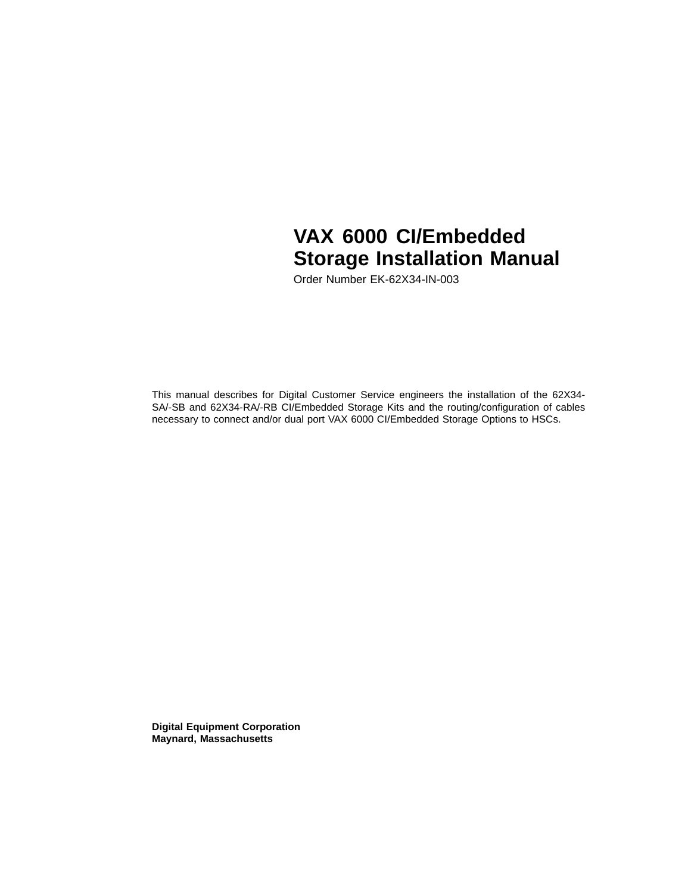# **VAX 6000 CI/Embedded Storage Installation Manual**

Order Number EK-62X34-IN-003

This manual describes for Digital Customer Service engineers the installation of the 62X34- SA/-SB and 62X34-RA/-RB CI/Embedded Storage Kits and the routing/configuration of cables necessary to connect and/or dual port VAX 6000 CI/Embedded Storage Options to HSCs.

**Digital Equipment Corporation Maynard, Massachusetts**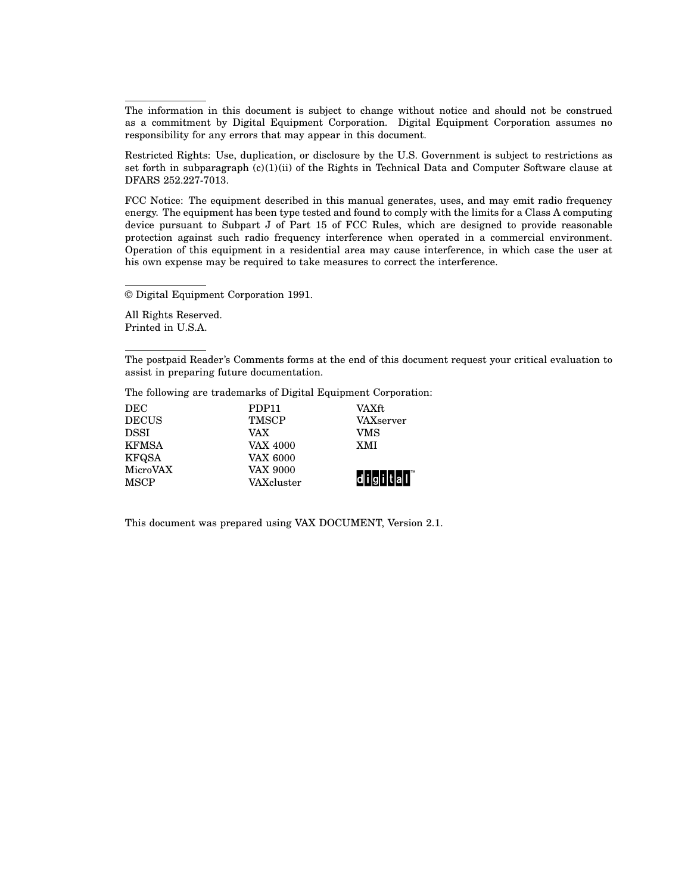The information in this document is subject to change without notice and should not be construed as a commitment by Digital Equipment Corporation. Digital Equipment Corporation assumes no responsibility for any errors that may appear in this document.

Restricted Rights: Use, duplication, or disclosure by the U.S. Government is subject to restrictions as set forth in subparagraph  $(c)(1)(ii)$  of the Rights in Technical Data and Computer Software clause at DFARS 252.227-7013.

FCC Notice: The equipment described in this manual generates, uses, and may emit radio frequency energy. The equipment has been type tested and found to comply with the limits for a Class A computing device pursuant to Subpart J of Part 15 of FCC Rules, which are designed to provide reasonable protection against such radio frequency interference when operated in a commercial environment. Operation of this equipment in a residential area may cause interference, in which case the user at his own expense may be required to take measures to correct the interference.

© Digital Equipment Corporation 1991.

All Rights Reserved. Printed in U.S.A.

The postpaid Reader's Comments forms at the end of this document request your critical evaluation to assist in preparing future documentation.

The following are trademarks of Digital Equipment Corporation:

| DEC          | PDP <sub>11</sub> | VAXft         |
|--------------|-------------------|---------------|
| <b>DECUS</b> | <b>TMSCP</b>      | VAXserver     |
| <b>DSSI</b>  | VAX               | VMS           |
| <b>KFMSA</b> | VAX 4000          | XMI           |
| KFQSA        | <b>VAX 6000</b>   |               |
| MicroVAX     | VAX 9000          |               |
| <b>MSCP</b>  | VAXcluster        | d i g i t a I |

This document was prepared using VAX DOCUMENT, Version 2.1.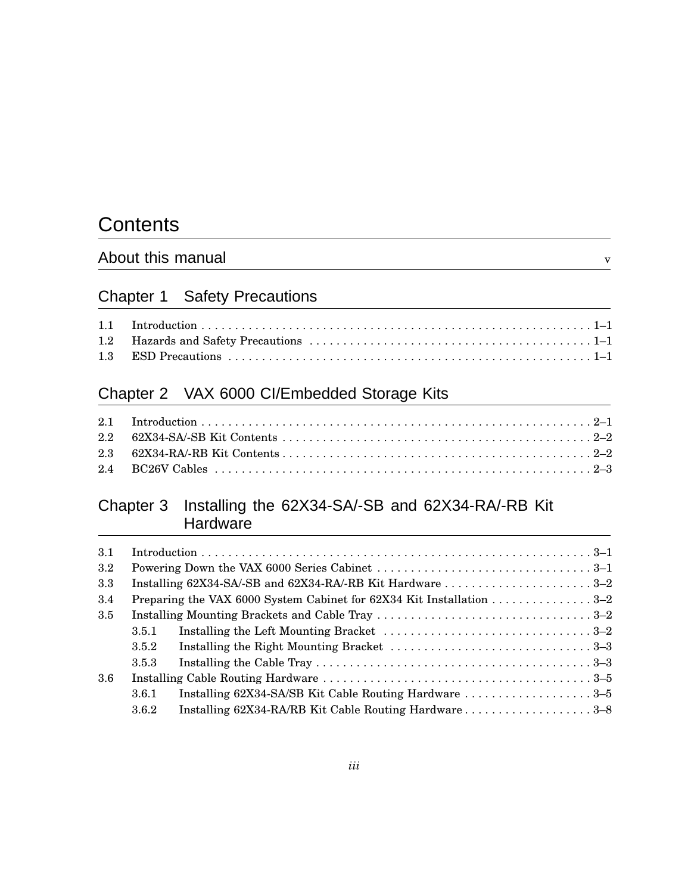## **Contents**

## About this manual v

## Chapter 1 Safety Precautions

## Chapter 2 VAX 6000 CI/Embedded Storage Kits

## Chapter 3 Installing the 62X34-SA/-SB and 62X34-RA/-RB Kit **Hardware**

| 3.1              |       |                                                                                                                     |
|------------------|-------|---------------------------------------------------------------------------------------------------------------------|
| $3.2\phantom{0}$ |       |                                                                                                                     |
| 3.3              |       |                                                                                                                     |
| 3.4              |       | Preparing the VAX 6000 System Cabinet for $62X34$ Kit Installation 3–2                                              |
| 3.5              |       |                                                                                                                     |
|                  | 3.5.1 |                                                                                                                     |
|                  | 3.5.2 |                                                                                                                     |
|                  | 3.5.3 | Installing the Cable Tray $\ldots \ldots \ldots \ldots \ldots \ldots \ldots \ldots \ldots \ldots \ldots \ldots 3-3$ |
| 3.6              |       |                                                                                                                     |
|                  | 3.6.1 | Installing 62X34-SA/SB Kit Cable Routing Hardware 3–5                                                               |
|                  | 3.6.2 | Installing 62X34-RA/RB Kit Cable Routing Hardware3-8                                                                |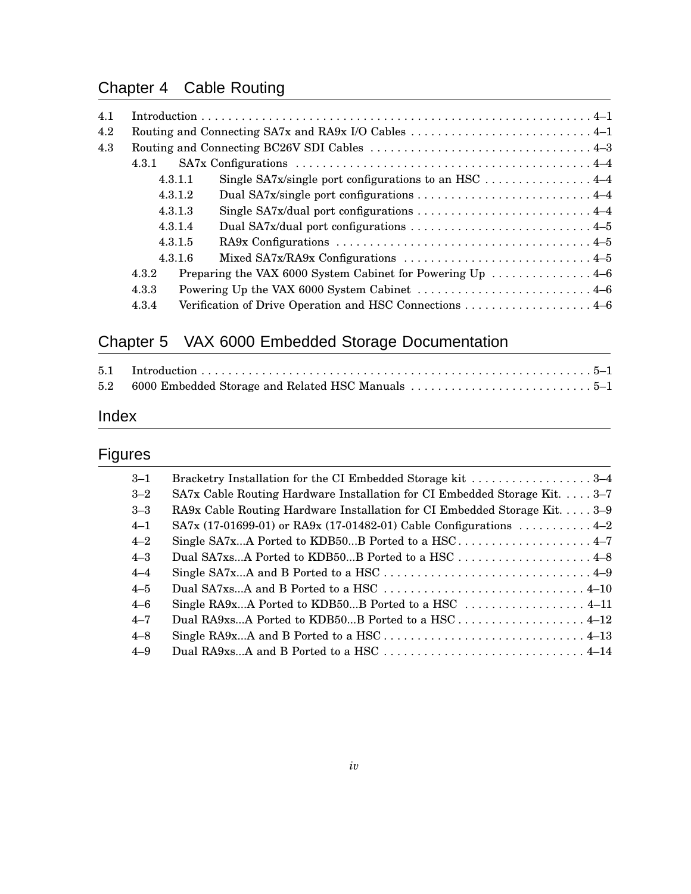## Chapter 4 Cable Routing

| 4.1 |         |                                                                                      |  |
|-----|---------|--------------------------------------------------------------------------------------|--|
| 4.2 |         |                                                                                      |  |
| 4.3 |         |                                                                                      |  |
|     | 4.3.1   |                                                                                      |  |
|     | 4.3.1.1 |                                                                                      |  |
|     | 4.3.1.2 |                                                                                      |  |
|     | 4.3.1.3 |                                                                                      |  |
|     | 4.3.1.4 |                                                                                      |  |
|     | 4.3.1.5 |                                                                                      |  |
|     | 4.3.1.6 |                                                                                      |  |
|     | 4.3.2   | Preparing the VAX 6000 System Cabinet for Powering Up $\dots\dots\dots\dots\dots4-6$ |  |
|     | 4.3.3   |                                                                                      |  |
|     | 4.3.4   | Verification of Drive Operation and HSC Connections  4–6                             |  |

## Chapter 5 VAX 6000 Embedded Storage Documentation

## Index

## Figures

| Bracketry Installation for the CI Embedded Storage kit 3–4                |
|---------------------------------------------------------------------------|
| SA7x Cable Routing Hardware Installation for CI Embedded Storage Kit. 3-7 |
| RA9x Cable Routing Hardware Installation for CI Embedded Storage Kit3-9   |
| SA7x (17-01699-01) or RA9x (17-01482-01) Cable Configurations  4–2        |
|                                                                           |
| Dual SA7xsA Ported to KDB50B Ported to a HSC 4–8                          |
|                                                                           |
|                                                                           |
| Single RA9xA Ported to KDB50B Ported to a HSC  4–11                       |
| Dual RA9xsA Ported to KDB50B Ported to a HSC 4–12                         |
|                                                                           |
|                                                                           |
|                                                                           |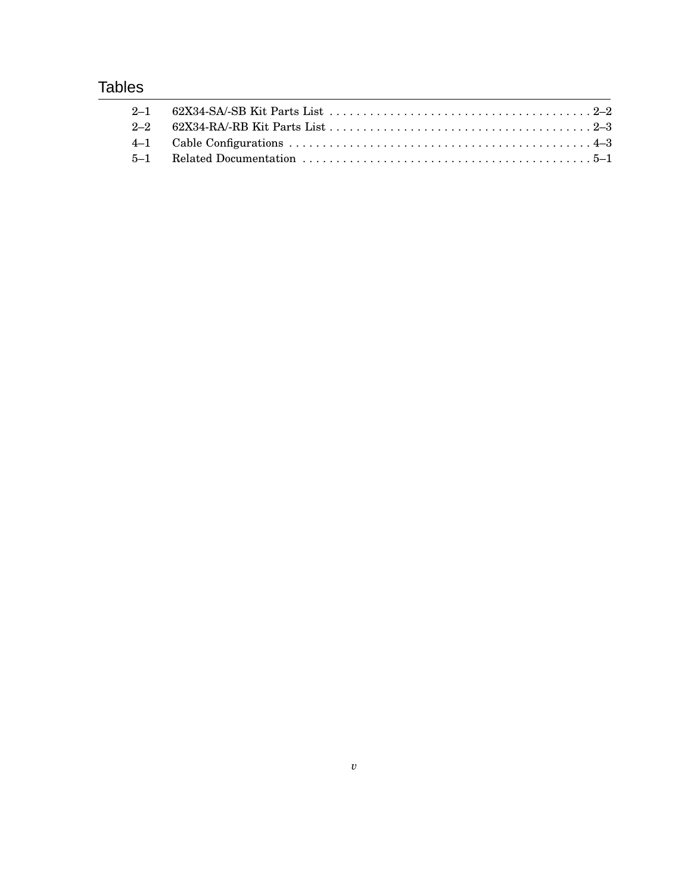## **Tables**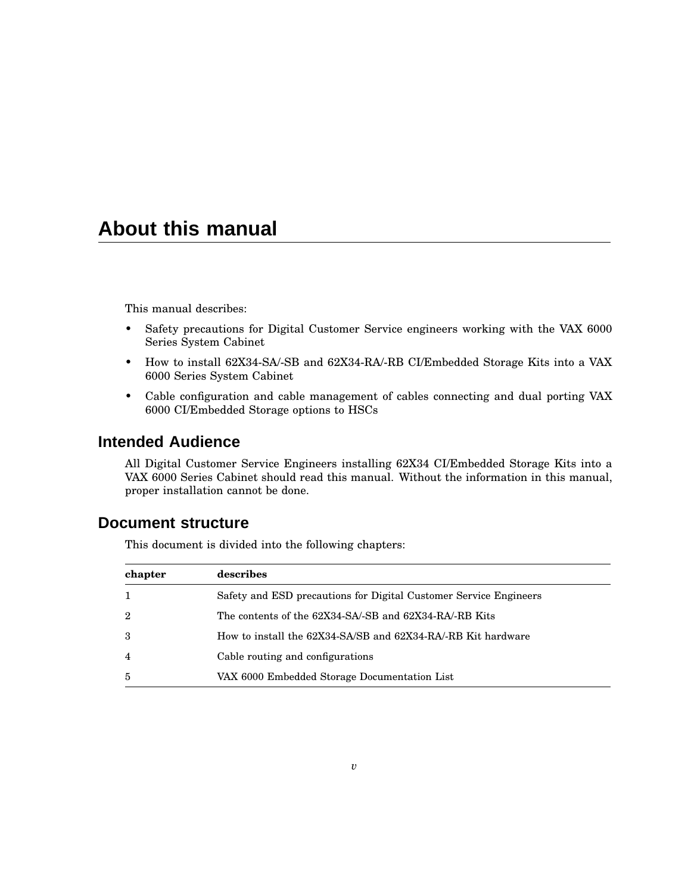## **About this manual**

This manual describes:

- Safety precautions for Digital Customer Service engineers working with the VAX 6000 Series System Cabinet
- How to install 62X34-SA/-SB and 62X34-RA/-RB CI/Embedded Storage Kits into a VAX 6000 Series System Cabinet
- Cable configuration and cable management of cables connecting and dual porting VAX 6000 CI/Embedded Storage options to HSCs

## **Intended Audience**

All Digital Customer Service Engineers installing 62X34 CI/Embedded Storage Kits into a VAX 6000 Series Cabinet should read this manual. Without the information in this manual, proper installation cannot be done.

#### **Document structure**

This document is divided into the following chapters:

| chapter        | describes                                                         |
|----------------|-------------------------------------------------------------------|
| 1              | Safety and ESD precautions for Digital Customer Service Engineers |
| $\overline{2}$ | The contents of the 62X34-SA/-SB and 62X34-RA/-RB Kits            |
| 3              | How to install the 62X34-SA/SB and 62X34-RA/-RB Kit hardware      |
| $\overline{4}$ | Cable routing and configurations                                  |
| 5              | VAX 6000 Embedded Storage Documentation List                      |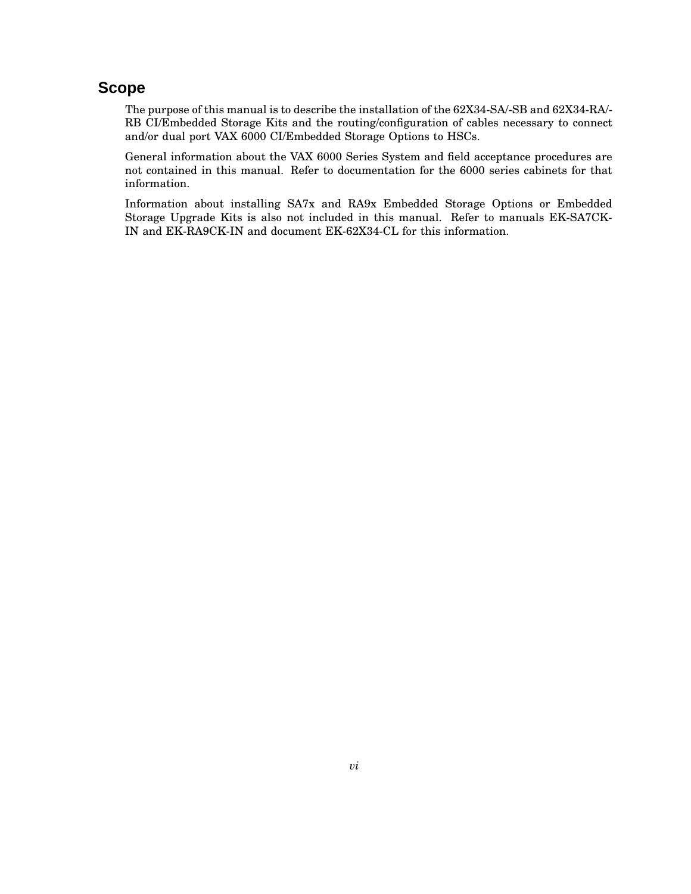### **Scope**

The purpose of this manual is to describe the installation of the 62X34-SA/-SB and 62X34-RA/- RB CI/Embedded Storage Kits and the routing/configuration of cables necessary to connect and/or dual port VAX 6000 CI/Embedded Storage Options to HSCs.

General information about the VAX 6000 Series System and field acceptance procedures are not contained in this manual. Refer to documentation for the 6000 series cabinets for that information.

Information about installing SA7x and RA9x Embedded Storage Options or Embedded Storage Upgrade Kits is also not included in this manual. Refer to manuals EK-SA7CK-IN and EK-RA9CK-IN and document EK-62X34-CL for this information.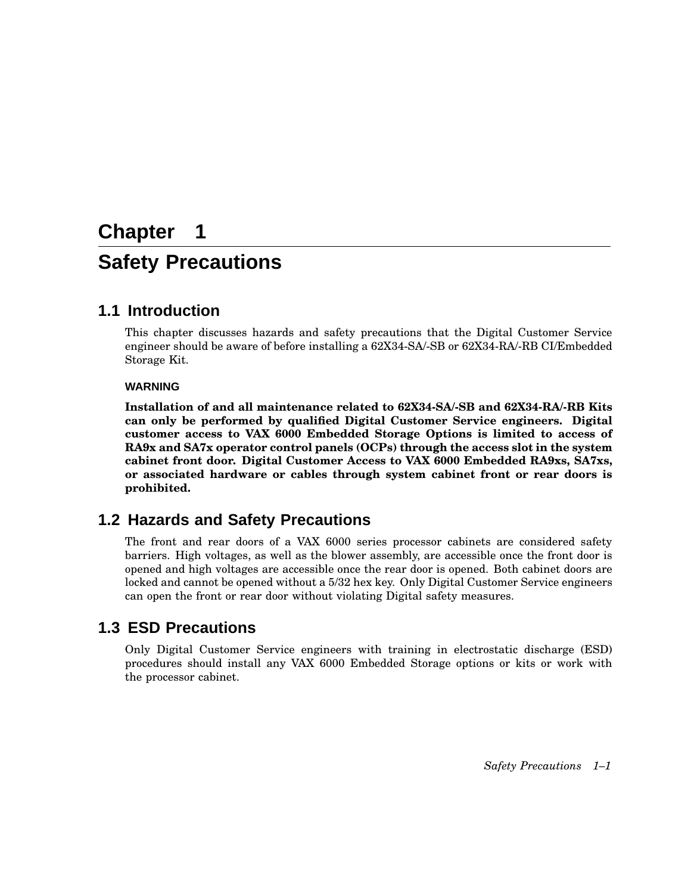# **Chapter 1 Safety Precautions**

## **1.1 Introduction**

This chapter discusses hazards and safety precautions that the Digital Customer Service engineer should be aware of before installing a 62X34-SA/-SB or 62X34-RA/-RB CI/Embedded Storage Kit.

#### **WARNING**

**Installation of and all maintenance related to 62X34-SA/-SB and 62X34-RA/-RB Kits can only be performed by qualified Digital Customer Service engineers. Digital customer access to VAX 6000 Embedded Storage Options is limited to access of RA9x and SA7x operator control panels (OCPs) through the access slot in the system cabinet front door. Digital Customer Access to VAX 6000 Embedded RA9xs, SA7xs, or associated hardware or cables through system cabinet front or rear doors is prohibited.**

## **1.2 Hazards and Safety Precautions**

The front and rear doors of a VAX 6000 series processor cabinets are considered safety barriers. High voltages, as well as the blower assembly, are accessible once the front door is opened and high voltages are accessible once the rear door is opened. Both cabinet doors are locked and cannot be opened without a 5/32 hex key. Only Digital Customer Service engineers can open the front or rear door without violating Digital safety measures.

## **1.3 ESD Precautions**

Only Digital Customer Service engineers with training in electrostatic discharge (ESD) procedures should install any VAX 6000 Embedded Storage options or kits or work with the processor cabinet.

*Safety Precautions 1–1*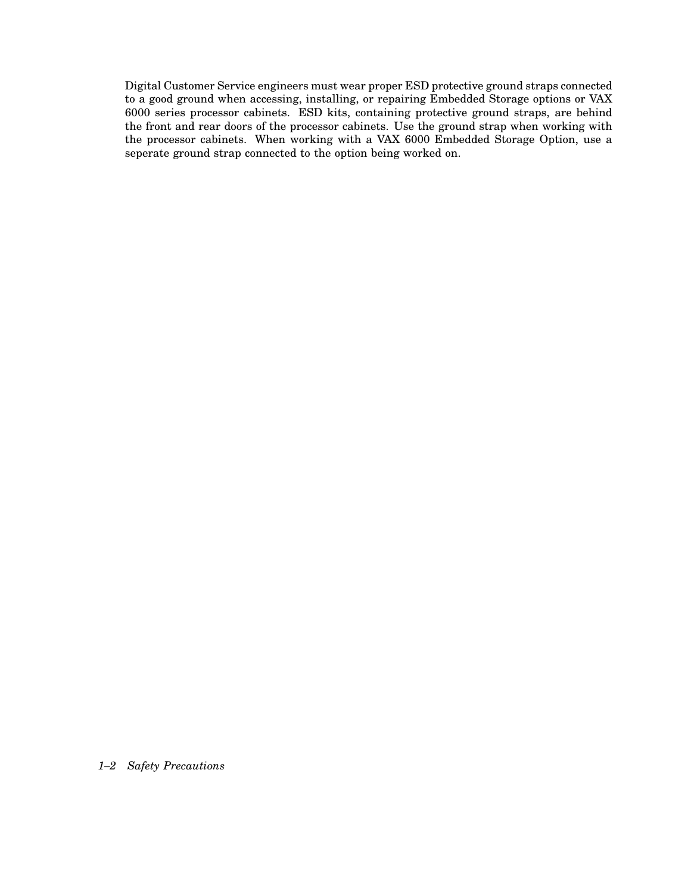Digital Customer Service engineers must wear proper ESD protective ground straps connected to a good ground when accessing, installing, or repairing Embedded Storage options or VAX 6000 series processor cabinets. ESD kits, containing protective ground straps, are behind the front and rear doors of the processor cabinets. Use the ground strap when working with the processor cabinets. When working with a VAX 6000 Embedded Storage Option, use a seperate ground strap connected to the option being worked on.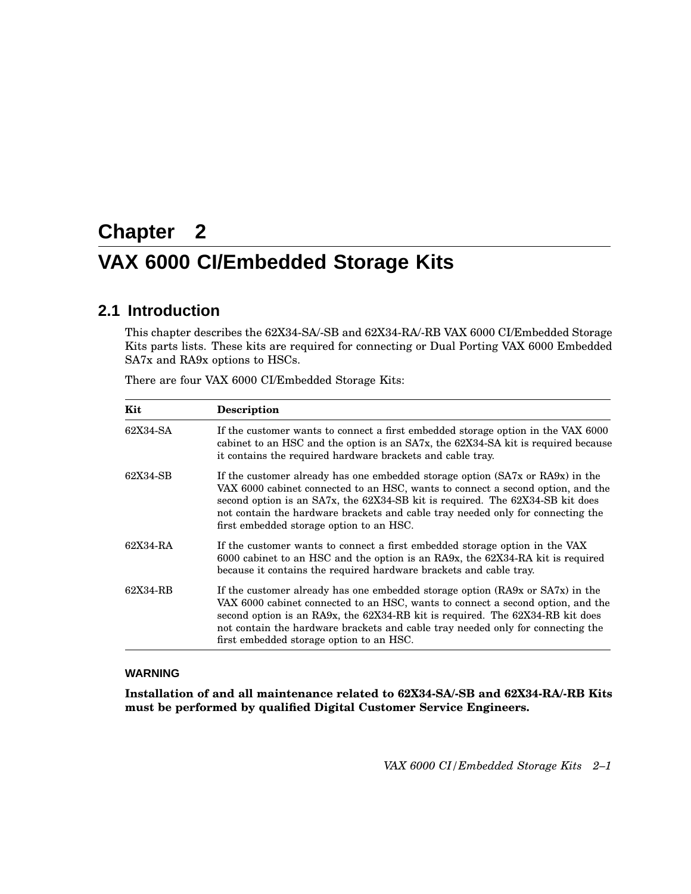# **Chapter 2 VAX 6000 CI/Embedded Storage Kits**

## **2.1 Introduction**

This chapter describes the 62X34-SA/-SB and 62X34-RA/-RB VAX 6000 CI/Embedded Storage Kits parts lists. These kits are required for connecting or Dual Porting VAX 6000 Embedded SA7x and RA9x options to HSCs.

| There are four VAX 6000 CI/Embedded Storage Kits: |  |  |  |  |  |  |  |  |  |
|---------------------------------------------------|--|--|--|--|--|--|--|--|--|
|---------------------------------------------------|--|--|--|--|--|--|--|--|--|

| Kit                                                                                                                                                                                                                                             | <b>Description</b>                                                                                                                                                                                                                                                                                                                                                               |  |  |
|-------------------------------------------------------------------------------------------------------------------------------------------------------------------------------------------------------------------------------------------------|----------------------------------------------------------------------------------------------------------------------------------------------------------------------------------------------------------------------------------------------------------------------------------------------------------------------------------------------------------------------------------|--|--|
| 62X34-SA<br>If the customer wants to connect a first embedded storage option in the VAX 6000<br>cabinet to an HSC and the option is an SA7x, the 62X34-SA kit is required because<br>it contains the required hardware brackets and cable tray. |                                                                                                                                                                                                                                                                                                                                                                                  |  |  |
| 62X34-SB                                                                                                                                                                                                                                        | If the customer already has one embedded storage option (SA7x or RA9x) in the<br>VAX 6000 cabinet connected to an HSC, wants to connect a second option, and the<br>second option is an SA7x, the 62X34-SB kit is required. The 62X34-SB kit does<br>not contain the hardware brackets and cable tray needed only for connecting the<br>first embedded storage option to an HSC. |  |  |
| 62X34-RA                                                                                                                                                                                                                                        | If the customer wants to connect a first embedded storage option in the VAX<br>6000 cabinet to an HSC and the option is an RA9x, the 62X34-RA kit is required<br>because it contains the required hardware brackets and cable tray.                                                                                                                                              |  |  |
| 62X34-RB                                                                                                                                                                                                                                        | If the customer already has one embedded storage option (RA9x or SA7x) in the<br>VAX 6000 cabinet connected to an HSC, wants to connect a second option, and the<br>second option is an RA9x, the 62X34-RB kit is required. The 62X34-RB kit does<br>not contain the hardware brackets and cable tray needed only for connecting the<br>first embedded storage option to an HSC. |  |  |

#### **WARNING**

**Installation of and all maintenance related to 62X34-SA/-SB and 62X34-RA/-RB Kits must be performed by qualified Digital Customer Service Engineers.**

*VAX 6000 CI/Embedded Storage Kits 2–1*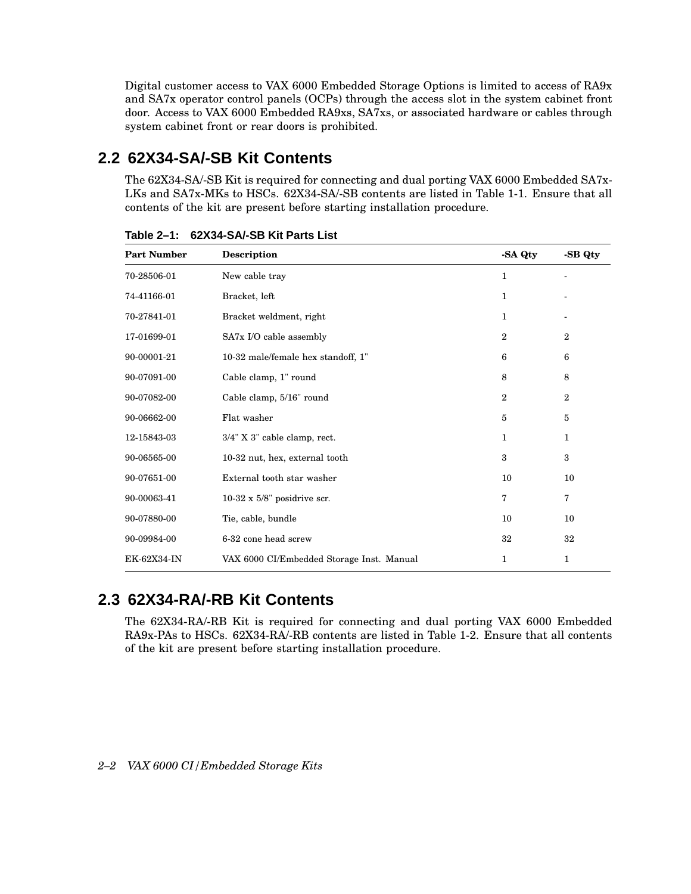Digital customer access to VAX 6000 Embedded Storage Options is limited to access of RA9x and SA7x operator control panels (OCPs) through the access slot in the system cabinet front door. Access to VAX 6000 Embedded RA9xs, SA7xs, or associated hardware or cables through system cabinet front or rear doors is prohibited.

## **2.2 62X34-SA/-SB Kit Contents**

The 62X34-SA/-SB Kit is required for connecting and dual porting VAX 6000 Embedded SA7x-LKs and SA7x-MKs to HSCs. 62X34-SA/-SB contents are listed in Table 1-1. Ensure that all contents of the kit are present before starting installation procedure.

| <b>Part Number</b> | <b>Description</b>                        | -SA Qty        | -SB Qty      |
|--------------------|-------------------------------------------|----------------|--------------|
| 70-28506-01        | New cable tray                            | 1              |              |
| 74-41166-01        | Bracket, left                             | 1              |              |
| 70-27841-01        | Bracket weldment, right                   | 1              |              |
| 17-01699-01        | SA7x I/O cable assembly                   | $\overline{2}$ | $\mathbf{2}$ |
| 90-00001-21        | 10-32 male/female hex standoff, 1"        | 6              | 6            |
| 90-07091-00        | Cable clamp, 1" round                     | 8              | 8            |
| 90-07082-00        | Cable clamp, 5/16" round                  | $\overline{2}$ | $\mathbf{2}$ |
| 90-06662-00        | Flat washer                               | $\bf 5$        | 5            |
| 12-15843-03        | 3/4" X 3" cable clamp, rect.              | 1              | 1            |
| 90-06565-00        | 10-32 nut, hex, external tooth            | 3              | 3            |
| 90-07651-00        | External tooth star washer                | 10             | 10           |
| 90-00063-41        | $10-32 \times 5/8$ " posidrive scr.       | 7              | 7            |
| 90-07880-00        | Tie, cable, bundle                        | 10             | 10           |
| 90-09984-00        | 6-32 cone head screw                      | 32             | 32           |
| EK-62X34-IN        | VAX 6000 CI/Embedded Storage Inst. Manual | 1              | 1            |

**Table 2–1: 62X34-SA/-SB Kit Parts List**

## **2.3 62X34-RA/-RB Kit Contents**

The 62X34-RA/-RB Kit is required for connecting and dual porting VAX 6000 Embedded RA9x-PAs to HSCs. 62X34-RA/-RB contents are listed in Table 1-2. Ensure that all contents of the kit are present before starting installation procedure.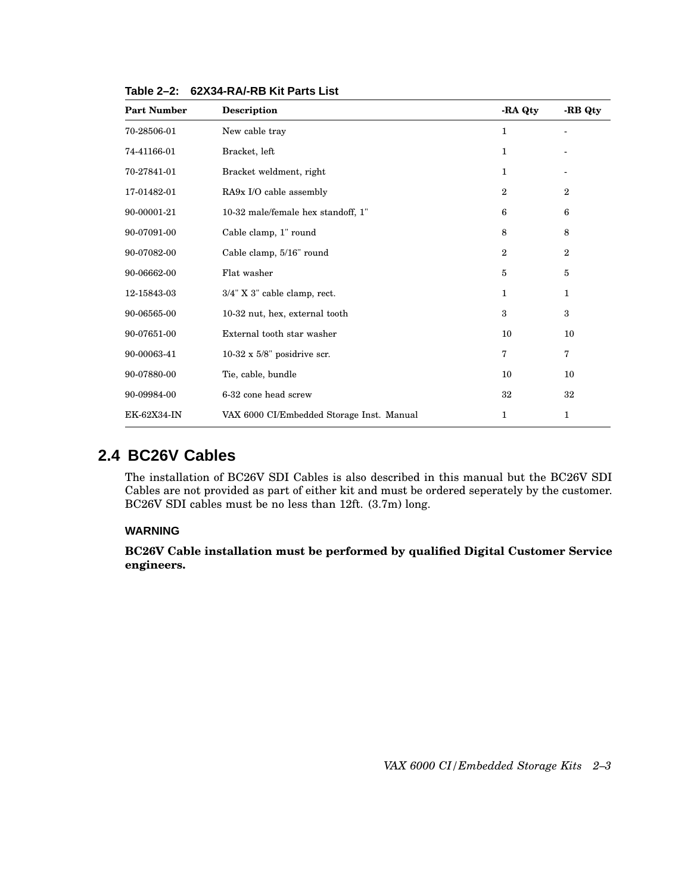| <b>Part Number</b> | Description                               | -RA Qty      | -RB Qty        |
|--------------------|-------------------------------------------|--------------|----------------|
| 70-28506-01        | New cable tray                            | 1            |                |
| 74-41166-01        | Bracket, left                             | 1            |                |
| 70-27841-01        | Bracket weldment, right                   | 1            |                |
| 17-01482-01        | RA9x I/O cable assembly                   | $\mathbf{2}$ | $\overline{2}$ |
| 90-00001-21        | 10-32 male/female hex standoff, 1"        | 6            | 6              |
| 90-07091-00        | Cable clamp, 1" round                     | 8            | 8              |
| 90-07082-00        | Cable clamp, 5/16" round                  | $\mathbf{2}$ | $\overline{2}$ |
| 90-06662-00        | Flat washer                               | 5            | 5              |
| 12-15843-03        | 3/4" X 3" cable clamp, rect.              | 1            | 1              |
| 90-06565-00        | 10-32 nut, hex, external tooth            | 3            | 3              |
| 90-07651-00        | External tooth star washer                | 10           | 10             |
| 90-00063-41        | $10-32 \times 5/8$ " posidrive scr.       | 7            | 7              |
| 90-07880-00        | Tie, cable, bundle                        | 10           | 10             |
| 90-09984-00        | 6-32 cone head screw                      | 32           | 32             |
| EK-62X34-IN        | VAX 6000 CI/Embedded Storage Inst. Manual | 1            | 1              |

**Table 2–2: 62X34-RA/-RB Kit Parts List**

### **2.4 BC26V Cables**

The installation of BC26V SDI Cables is also described in this manual but the BC26V SDI Cables are not provided as part of either kit and must be ordered seperately by the customer. BC26V SDI cables must be no less than 12ft. (3.7m) long.

#### **WARNING**

**BC26V Cable installation must be performed by qualified Digital Customer Service engineers.**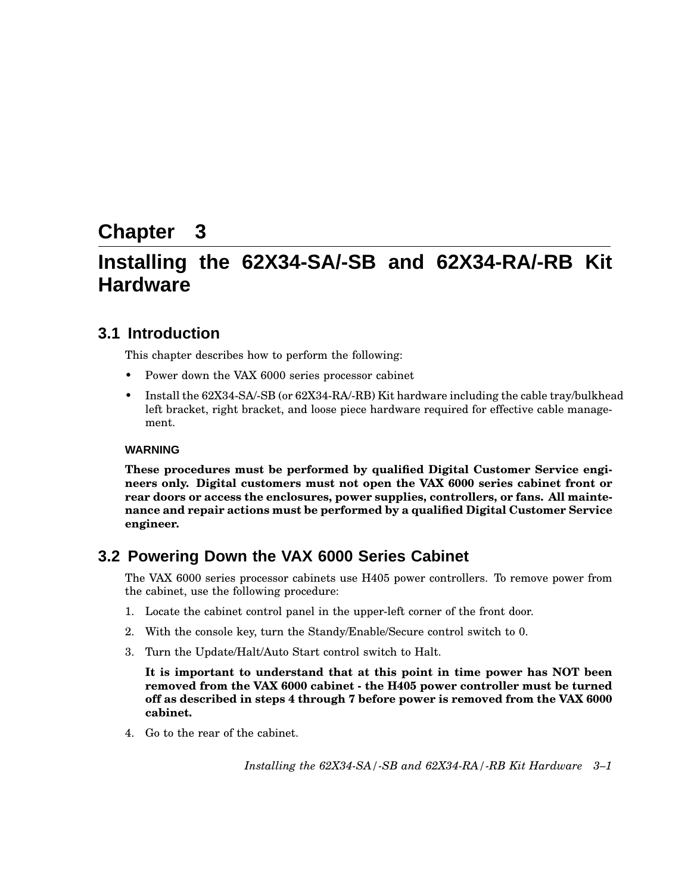## **Chapter 3**

## **Installing the 62X34-SA/-SB and 62X34-RA/-RB Kit Hardware**

## **3.1 Introduction**

This chapter describes how to perform the following:

- Power down the VAX 6000 series processor cabinet
- Install the 62X34-SA/-SB (or 62X34-RA/-RB) Kit hardware including the cable tray/bulkhead left bracket, right bracket, and loose piece hardware required for effective cable management.

#### **WARNING**

**These procedures must be performed by qualified Digital Customer Service engineers only. Digital customers must not open the VAX 6000 series cabinet front or rear doors or access the enclosures, power supplies, controllers, or fans. All maintenance and repair actions must be performed by a qualified Digital Customer Service engineer.**

### **3.2 Powering Down the VAX 6000 Series Cabinet**

The VAX 6000 series processor cabinets use H405 power controllers. To remove power from the cabinet, use the following procedure:

- 1. Locate the cabinet control panel in the upper-left corner of the front door.
- 2. With the console key, turn the Standy/Enable/Secure control switch to 0.
- 3. Turn the Update/Halt/Auto Start control switch to Halt.

**It is important to understand that at this point in time power has NOT been removed from the VAX 6000 cabinet - the H405 power controller must be turned off as described in steps 4 through 7 before power is removed from the VAX 6000 cabinet.**

4. Go to the rear of the cabinet.

*Installing the 62X34-SA/-SB and 62X34-RA/-RB Kit Hardware 3–1*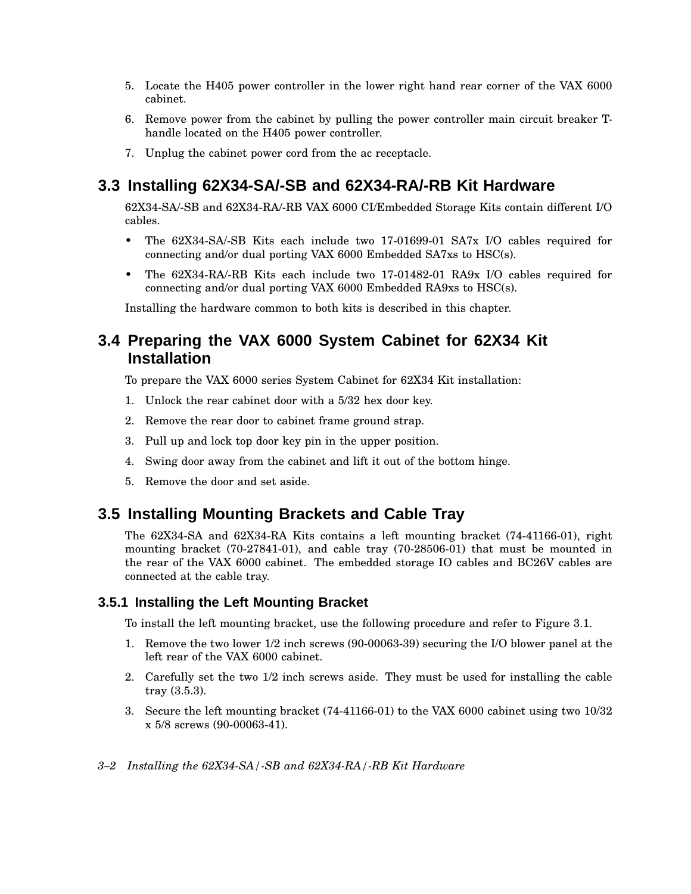- 5. Locate the H405 power controller in the lower right hand rear corner of the VAX 6000 cabinet.
- 6. Remove power from the cabinet by pulling the power controller main circuit breaker Thandle located on the H405 power controller.
- 7. Unplug the cabinet power cord from the ac receptacle.

## **3.3 Installing 62X34-SA/-SB and 62X34-RA/-RB Kit Hardware**

62X34-SA/-SB and 62X34-RA/-RB VAX 6000 CI/Embedded Storage Kits contain different I/O cables.

- The 62X34-SA/-SB Kits each include two 17-01699-01 SA7x I/O cables required for connecting and/or dual porting VAX 6000 Embedded SA7xs to HSC(s).
- The 62X34-RA/-RB Kits each include two 17-01482-01 RA9x I/O cables required for connecting and/or dual porting VAX 6000 Embedded RA9xs to HSC(s).

Installing the hardware common to both kits is described in this chapter.

## **3.4 Preparing the VAX 6000 System Cabinet for 62X34 Kit Installation**

To prepare the VAX 6000 series System Cabinet for 62X34 Kit installation:

- 1. Unlock the rear cabinet door with a 5/32 hex door key.
- 2. Remove the rear door to cabinet frame ground strap.
- 3. Pull up and lock top door key pin in the upper position.
- 4. Swing door away from the cabinet and lift it out of the bottom hinge.
- 5. Remove the door and set aside.

#### **3.5 Installing Mounting Brackets and Cable Tray**

The 62X34-SA and 62X34-RA Kits contains a left mounting bracket (74-41166-01), right mounting bracket (70-27841-01), and cable tray (70-28506-01) that must be mounted in the rear of the VAX 6000 cabinet. The embedded storage IO cables and BC26V cables are connected at the cable tray.

#### **3.5.1 Installing the Left Mounting Bracket**

To install the left mounting bracket, use the following procedure and refer to Figure 3.1.

- 1. Remove the two lower 1/2 inch screws (90-00063-39) securing the I/O blower panel at the left rear of the VAX 6000 cabinet.
- 2. Carefully set the two 1/2 inch screws aside. They must be used for installing the cable tray (3.5.3).
- 3. Secure the left mounting bracket (74-41166-01) to the VAX 6000 cabinet using two 10/32 x 5/8 screws (90-00063-41).
- *3–2 Installing the 62X34-SA/-SB and 62X34-RA/-RB Kit Hardware*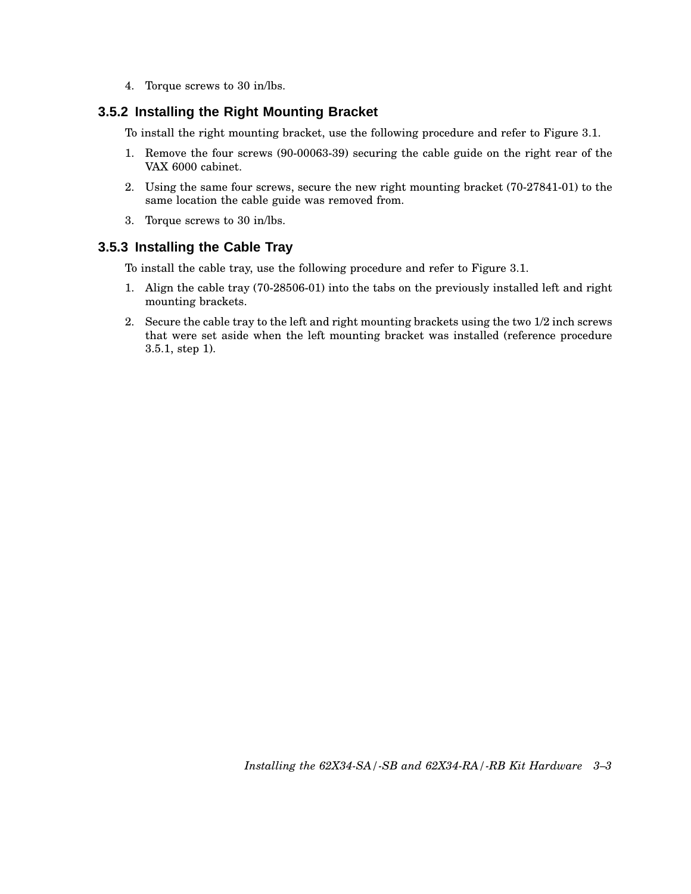4. Torque screws to 30 in/lbs.

#### **3.5.2 Installing the Right Mounting Bracket**

To install the right mounting bracket, use the following procedure and refer to Figure 3.1.

- 1. Remove the four screws (90-00063-39) securing the cable guide on the right rear of the VAX 6000 cabinet.
- 2. Using the same four screws, secure the new right mounting bracket (70-27841-01) to the same location the cable guide was removed from.
- 3. Torque screws to 30 in/lbs.

#### **3.5.3 Installing the Cable Tray**

To install the cable tray, use the following procedure and refer to Figure 3.1.

- 1. Align the cable tray (70-28506-01) into the tabs on the previously installed left and right mounting brackets.
- 2. Secure the cable tray to the left and right mounting brackets using the two 1/2 inch screws that were set aside when the left mounting bracket was installed (reference procedure 3.5.1, step 1).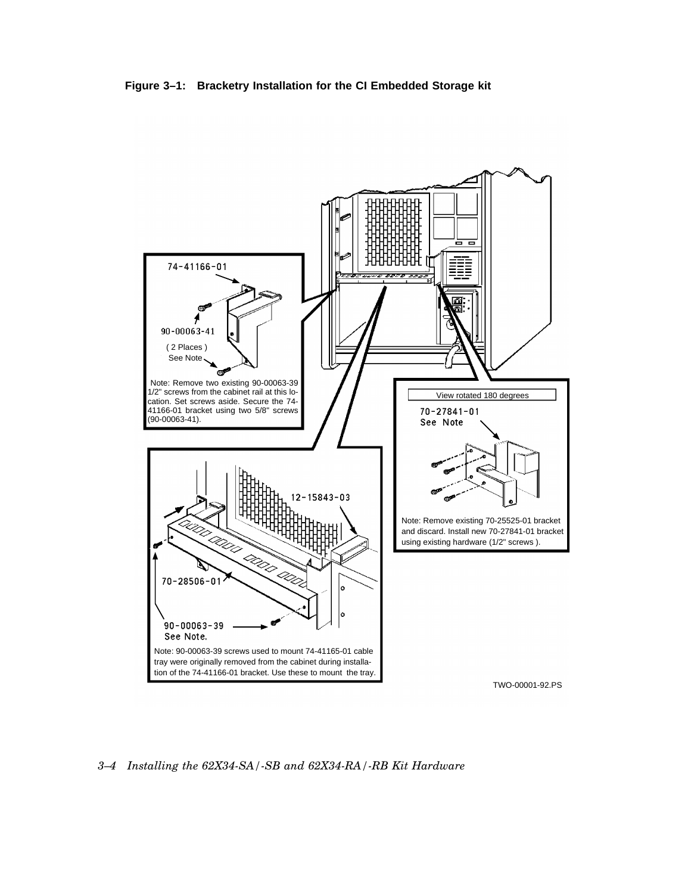



*3–4 Installing the 62X34-SA/-SB and 62X34-RA/-RB Kit Hardware*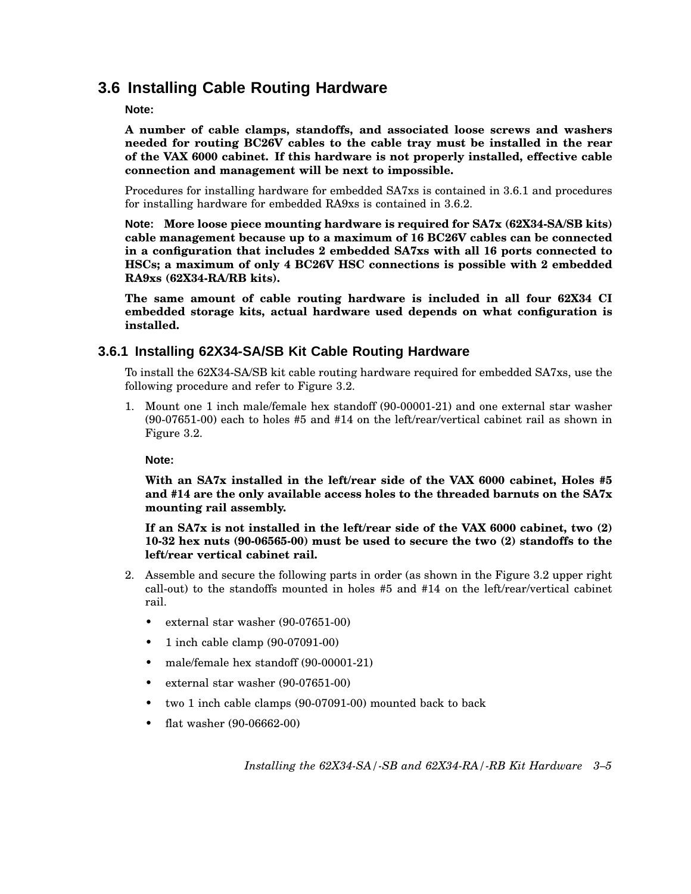## **3.6 Installing Cable Routing Hardware**

#### **Note:**

**A number of cable clamps, standoffs, and associated loose screws and washers needed for routing BC26V cables to the cable tray must be installed in the rear of the VAX 6000 cabinet. If this hardware is not properly installed, effective cable connection and management will be next to impossible.**

Procedures for installing hardware for embedded SA7xs is contained in 3.6.1 and procedures for installing hardware for embedded RA9xs is contained in 3.6.2.

**Note: More loose piece mounting hardware is required for SA7x (62X34-SA/SB kits) cable management because up to a maximum of 16 BC26V cables can be connected in a configuration that includes 2 embedded SA7xs with all 16 ports connected to HSCs; a maximum of only 4 BC26V HSC connections is possible with 2 embedded RA9xs (62X34-RA/RB kits).**

**The same amount of cable routing hardware is included in all four 62X34 CI embedded storage kits, actual hardware used depends on what configuration is installed.**

#### **3.6.1 Installing 62X34-SA/SB Kit Cable Routing Hardware**

To install the 62X34-SA/SB kit cable routing hardware required for embedded SA7xs, use the following procedure and refer to Figure 3.2.

1. Mount one 1 inch male/female hex standoff (90-00001-21) and one external star washer (90-07651-00) each to holes #5 and #14 on the left/rear/vertical cabinet rail as shown in Figure 3.2.

**Note:**

**With an SA7x installed in the left/rear side of the VAX 6000 cabinet, Holes #5 and #14 are the only available access holes to the threaded barnuts on the SA7x mounting rail assembly.**

**If an SA7x is not installed in the left/rear side of the VAX 6000 cabinet, two (2) 10-32 hex nuts (90-06565-00) must be used to secure the two (2) standoffs to the left/rear vertical cabinet rail.**

- 2. Assemble and secure the following parts in order (as shown in the Figure 3.2 upper right call-out) to the standoffs mounted in holes #5 and #14 on the left/rear/vertical cabinet rail.
	- external star washer (90-07651-00)
	- 1 inch cable clamp (90-07091-00)
	- male/female hex standoff (90-00001-21)
	- external star washer (90-07651-00)
	- two 1 inch cable clamps (90-07091-00) mounted back to back
	- flat washer (90-06662-00)

*Installing the 62X34-SA/-SB and 62X34-RA/-RB Kit Hardware 3–5*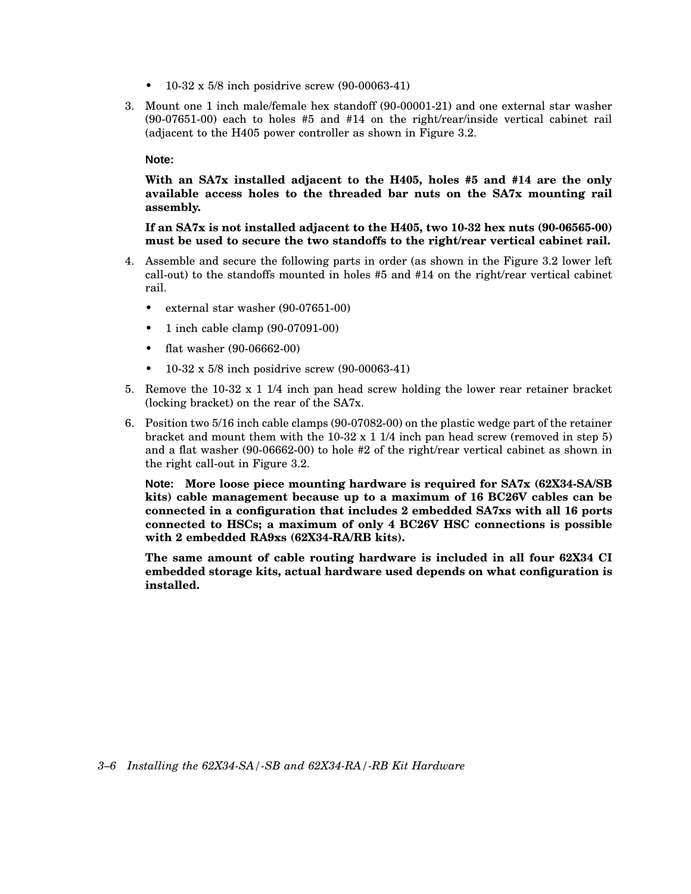- 10-32 x 5/8 inch posidrive screw (90-00063-41)
- 3. Mount one 1 inch male/female hex standoff (90-00001-21) and one external star washer (90-07651-00) each to holes #5 and #14 on the right/rear/inside vertical cabinet rail (adjacent to the H405 power controller as shown in Figure 3.2.

#### **Note:**

**With an SA7x installed adjacent to the H405, holes #5 and #14 are the only available access holes to the threaded bar nuts on the SA7x mounting rail assembly.**

**If an SA7x is not installed adjacent to the H405, two 10-32 hex nuts (90-06565-00) must be used to secure the two standoffs to the right/rear vertical cabinet rail.**

- 4. Assemble and secure the following parts in order (as shown in the Figure 3.2 lower left call-out) to the standoffs mounted in holes #5 and #14 on the right/rear vertical cabinet rail.
	- external star washer (90-07651-00)
	- 1 inch cable clamp (90-07091-00)
	- flat washer (90-06662-00)
	- 10-32 x 5/8 inch posidrive screw (90-00063-41)
- 5. Remove the 10-32 x 1 1/4 inch pan head screw holding the lower rear retainer bracket (locking bracket) on the rear of the SA7x.
- 6. Position two 5/16 inch cable clamps (90-07082-00) on the plastic wedge part of the retainer bracket and mount them with the  $10-32 \times 11/4$  inch pan head screw (removed in step 5) and a flat washer (90-06662-00) to hole #2 of the right/rear vertical cabinet as shown in the right call-out in Figure 3.2.

**Note: More loose piece mounting hardware is required for SA7x (62X34-SA/SB kits) cable management because up to a maximum of 16 BC26V cables can be connected in a configuration that includes 2 embedded SA7xs with all 16 ports connected to HSCs; a maximum of only 4 BC26V HSC connections is possible with 2 embedded RA9xs (62X34-RA/RB kits).**

**The same amount of cable routing hardware is included in all four 62X34 CI embedded storage kits, actual hardware used depends on what configuration is installed.**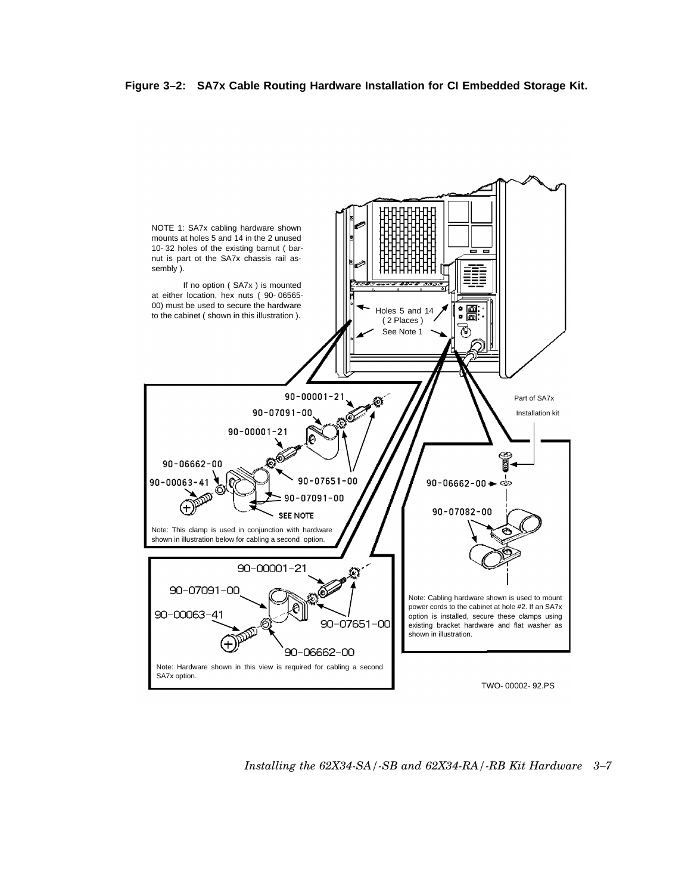**Figure 3–2: SA7x Cable Routing Hardware Installation for CI Embedded Storage Kit.**



*Installing the 62X34-SA/-SB and 62X34-RA/-RB Kit Hardware 3–7*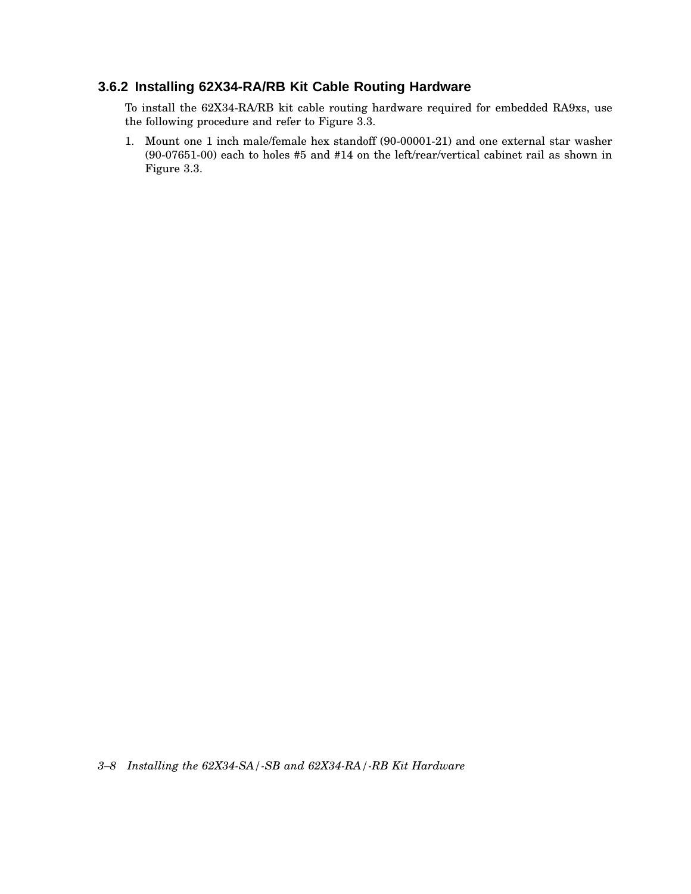## **3.6.2 Installing 62X34-RA/RB Kit Cable Routing Hardware**

To install the 62X34-RA/RB kit cable routing hardware required for embedded RA9xs, use the following procedure and refer to Figure 3.3.

1. Mount one 1 inch male/female hex standoff (90-00001-21) and one external star washer (90-07651-00) each to holes #5 and #14 on the left/rear/vertical cabinet rail as shown in Figure 3.3.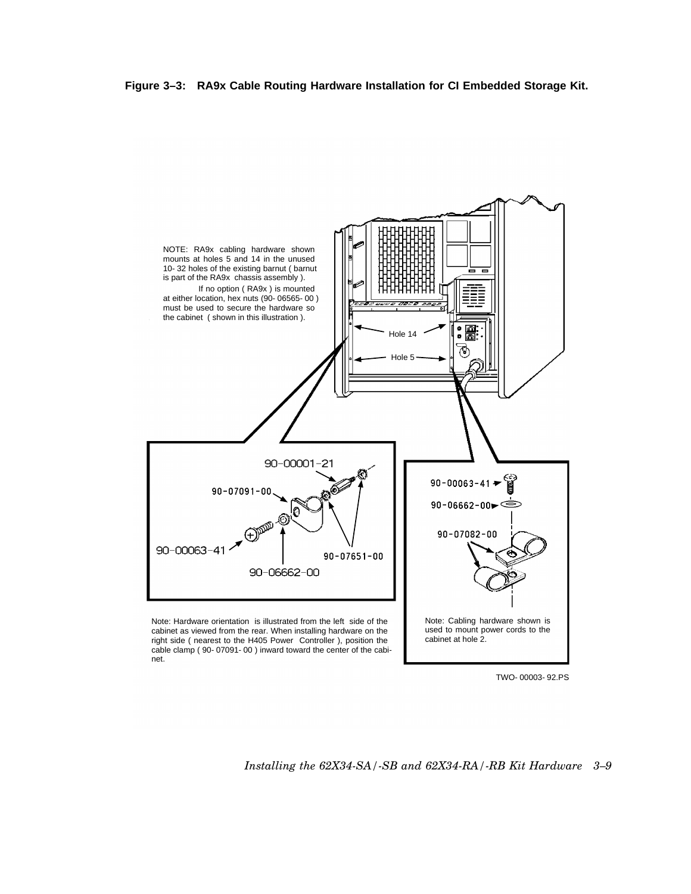**Figure 3–3: RA9x Cable Routing Hardware Installation for CI Embedded Storage Kit.**



TWO-00003-92.PS

#### *Installing the 62X34-SA/-SB and 62X34-RA/-RB Kit Hardware 3–9*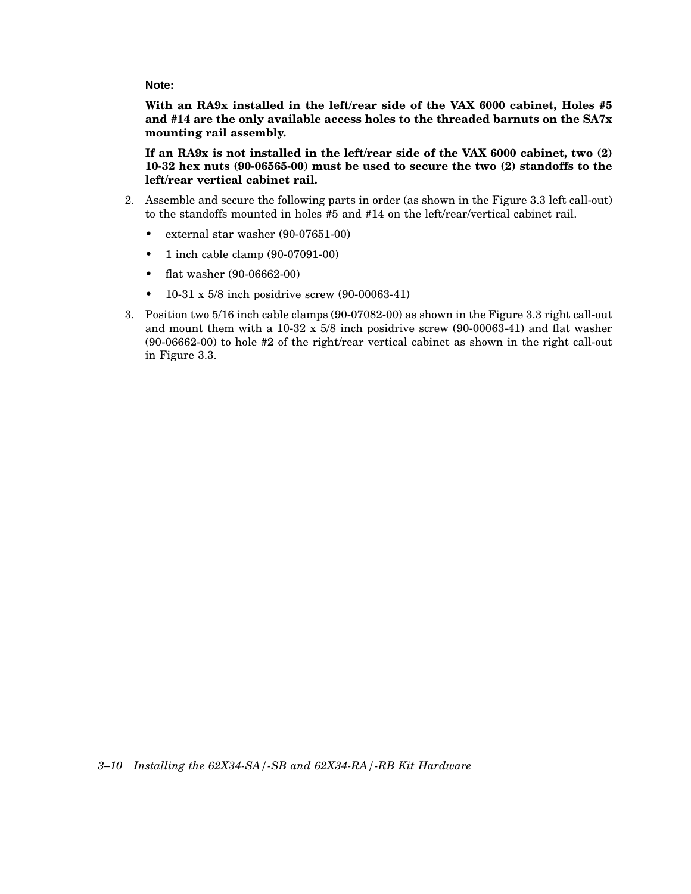**Note:**

**With an RA9x installed in the left/rear side of the VAX 6000 cabinet, Holes #5 and #14 are the only available access holes to the threaded barnuts on the SA7x mounting rail assembly.**

**If an RA9x is not installed in the left/rear side of the VAX 6000 cabinet, two (2) 10-32 hex nuts (90-06565-00) must be used to secure the two (2) standoffs to the left/rear vertical cabinet rail.**

- 2. Assemble and secure the following parts in order (as shown in the Figure 3.3 left call-out) to the standoffs mounted in holes #5 and #14 on the left/rear/vertical cabinet rail.
	- external star washer (90-07651-00)
	- 1 inch cable clamp (90-07091-00)
	- flat washer (90-06662-00)
	- 10-31 x  $5/8$  inch posidrive screw (90-00063-41)
- 3. Position two 5/16 inch cable clamps (90-07082-00) as shown in the Figure 3.3 right call-out and mount them with a 10-32 x 5/8 inch posidrive screw (90-00063-41) and flat washer (90-06662-00) to hole #2 of the right/rear vertical cabinet as shown in the right call-out in Figure 3.3.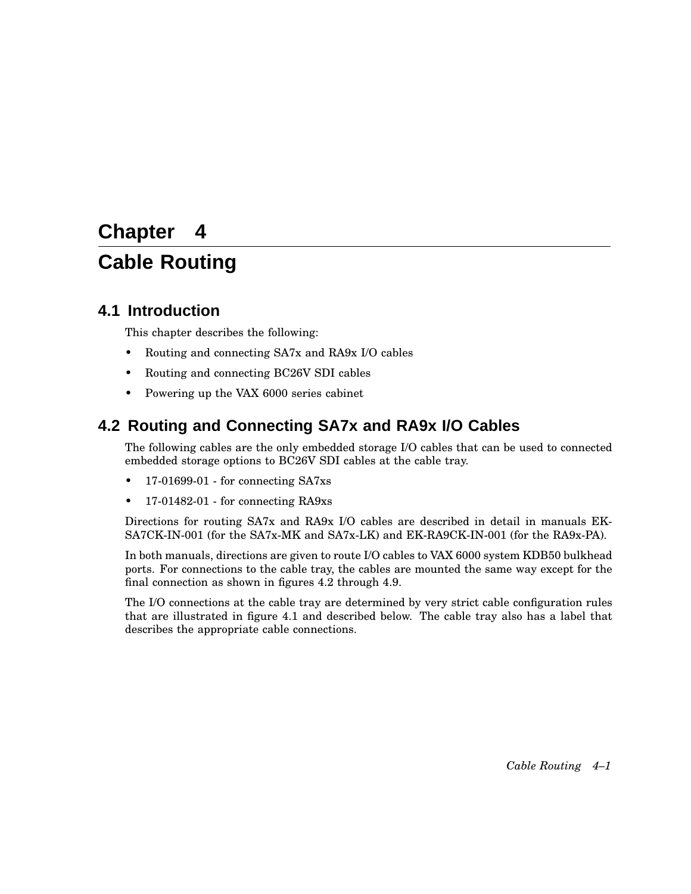# **Chapter 4 Cable Routing**

## **4.1 Introduction**

This chapter describes the following:

- Routing and connecting SA7x and RA9x I/O cables
- Routing and connecting BC26V SDI cables
- Powering up the VAX 6000 series cabinet

## **4.2 Routing and Connecting SA7x and RA9x I/O Cables**

The following cables are the only embedded storage I/O cables that can be used to connected embedded storage options to BC26V SDI cables at the cable tray.

- 17-01699-01 for connecting SA7xs
- 17-01482-01 for connecting RA9xs

Directions for routing SA7x and RA9x I/O cables are described in detail in manuals EK-SA7CK-IN-001 (for the SA7x-MK and SA7x-LK) and EK-RA9CK-IN-001 (for the RA9x-PA).

In both manuals, directions are given to route I/O cables to VAX 6000 system KDB50 bulkhead ports. For connections to the cable tray, the cables are mounted the same way except for the final connection as shown in figures 4.2 through 4.9.

The I/O connections at the cable tray are determined by very strict cable configuration rules that are illustrated in figure 4.1 and described below. The cable tray also has a label that describes the appropriate cable connections.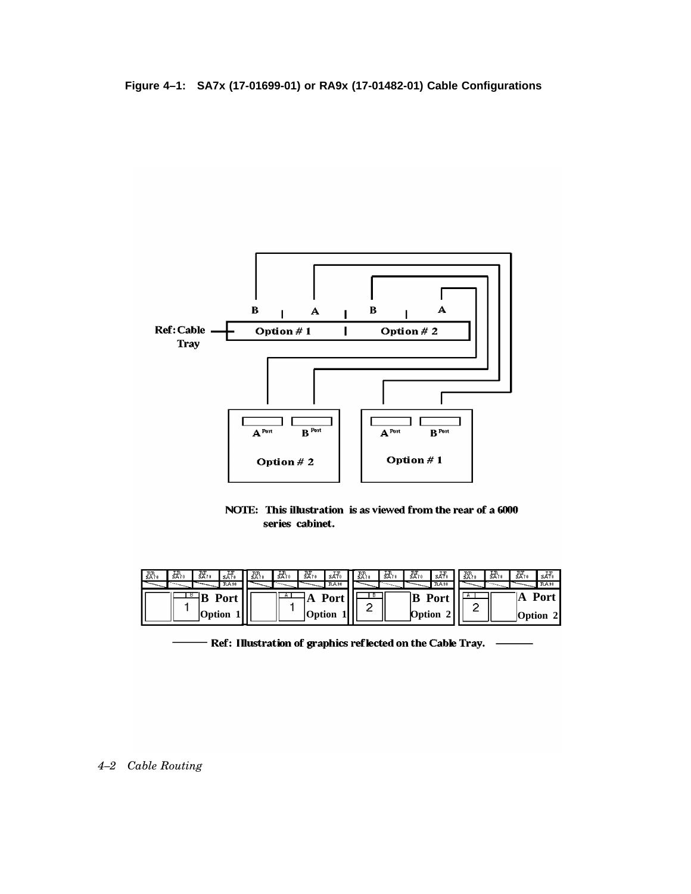**Figure 4–1: SA7x (17-01699-01) or RA9x (17-01482-01) Cable Configurations**



NOTE: This illustration is as viewed from the rear of a 6000 series cabinet.

| $\frac{RF}{SA+10}$<br>恐<br>H <sub>sA70</sub><br>' EP.<br><b>RA30</b> | 꾨.<br>$\frac{RF}{SA10}$<br>跺. | skt.<br><b>RA30</b> | 跺. | $\frac{1R}{5R+10}$<br><b>The Contract of Street</b> | 然。     | sH<br><b>RA30</b> | 恐。 | 뮶. | 既。<br>SA70 | s.H<br><b>EA30</b> |
|----------------------------------------------------------------------|-------------------------------|---------------------|----|-----------------------------------------------------|--------|-------------------|----|----|------------|--------------------|
| Port                                                                 |                               | <b>Port</b>         |    |                                                     |        | <b>Port</b>       |    |    |            | Port               |
| <b>Option</b>                                                        |                               | <b>Option</b>       |    |                                                     | Option |                   |    |    |            | Option 2           |

- Ref: Illustration of graphics reflected on the Cable Tray.  $\;\;\;\;\;$   $\;\;\;\;$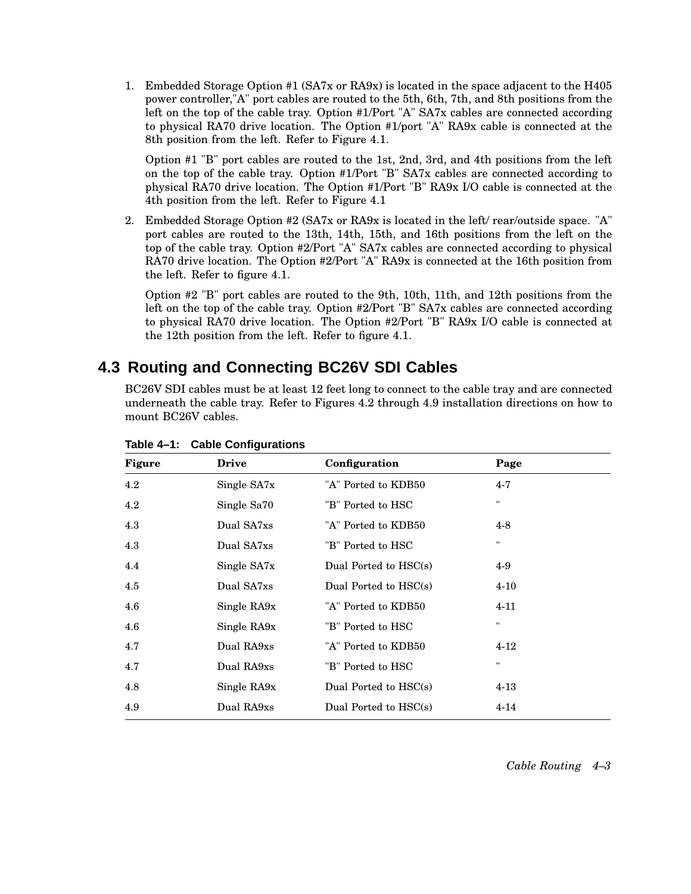1. Embedded Storage Option #1 (SA7x or RA9x) is located in the space adjacent to the H405 power controller,"A" port cables are routed to the 5th, 6th, 7th, and 8th positions from the left on the top of the cable tray. Option #1/Port "A" SA7x cables are connected according to physical RA70 drive location. The Option #1/port "A" RA9x cable is connected at the 8th position from the left. Refer to Figure 4.1.

Option #1 "B" port cables are routed to the 1st, 2nd, 3rd, and 4th positions from the left on the top of the cable tray. Option #1/Port "B" SA7x cables are connected according to physical RA70 drive location. The Option #1/Port "B" RA9x I/O cable is connected at the 4th position from the left. Refer to Figure 4.1

2. Embedded Storage Option #2 (SA7x or RA9x is located in the left/ rear/outside space. "A" port cables are routed to the 13th, 14th, 15th, and 16th positions from the left on the top of the cable tray. Option #2/Port "A" SA7x cables are connected according to physical RA70 drive location. The Option #2/Port "A" RA9x is connected at the 16th position from the left. Refer to figure 4.1.

Option #2 "B" port cables are routed to the 9th, 10th, 11th, and 12th positions from the left on the top of the cable tray. Option #2/Port "B" SA7x cables are connected according to physical RA70 drive location. The Option #2/Port "B" RA9x I/O cable is connected at the 12th position from the left. Refer to figure 4.1.

## **4.3 Routing and Connecting BC26V SDI Cables**

BC26V SDI cables must be at least 12 feet long to connect to the cable tray and are connected underneath the cable tray. Refer to Figures 4.2 through 4.9 installation directions on how to mount BC26V cables.

| <b>Figure</b> | <b>Drive</b> | Configuration           | Page         |
|---------------|--------------|-------------------------|--------------|
| $4.2\,$       | Single SA7x  | "A" Ported to KDB50     | $4 - 7$      |
| 4.2           | Single Sa70  | "B" Ported to HSC       | $\mathbf{H}$ |
| 4.3           | Dual SA7xs   | "A" Ported to KDB50     | $4 - 8$      |
| 4.3           | Dual SA7xs   | "B" Ported to HSC       | 11           |
| 4.4           | Single SA7x  | Dual Ported to $HSC(s)$ | $4-9$        |
| 4.5           | Dual SA7xs   | Dual Ported to HSC(s)   | $4 - 10$     |
| 4.6           | Single RA9x  | "A" Ported to KDB50     | $4 - 11$     |
| 4.6           | Single RA9x  | "B" Ported to HSC       | $\mathbf{H}$ |
| 4.7           | Dual RA9xs   | "A" Ported to KDB50     | $4-12$       |
| 4.7           | Dual RA9xs   | "B" Ported to HSC       | 11           |
| 4.8           | Single RA9x  | Dual Ported to HSC(s)   | $4 - 13$     |
| 4.9           | Dual RA9xs   | Dual Ported to $HSC(s)$ | $4 - 14$     |

#### **Table 4–1: Cable Configurations**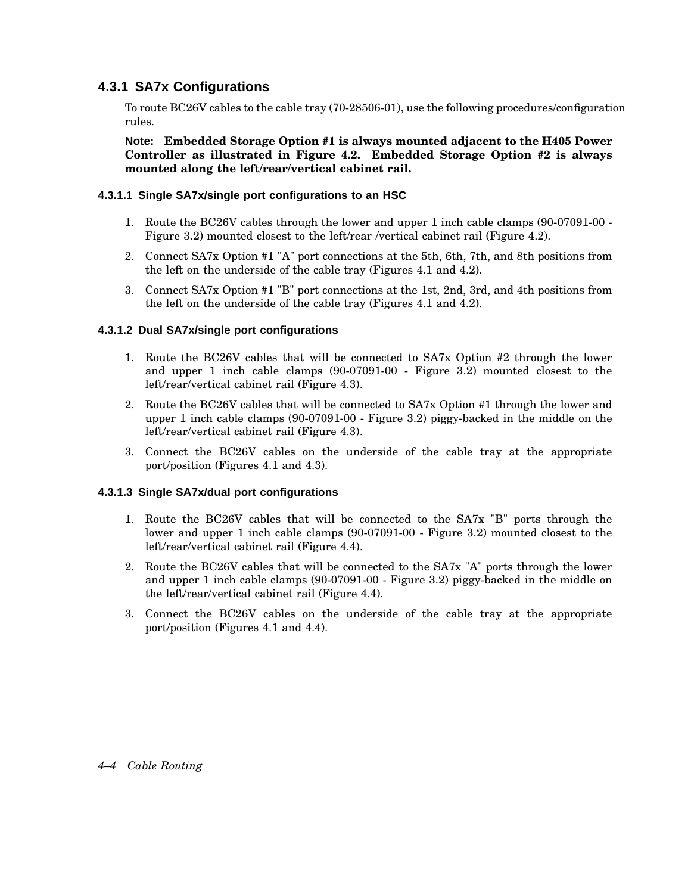### **4.3.1 SA7x Configurations**

To route BC26V cables to the cable tray (70-28506-01), use the following procedures/configuration rules.

**Note: Embedded Storage Option #1 is always mounted adjacent to the H405 Power Controller as illustrated in Figure 4.2. Embedded Storage Option #2 is always mounted along the left/rear/vertical cabinet rail.**

#### **4.3.1.1 Single SA7x/single port configurations to an HSC**

- 1. Route the BC26V cables through the lower and upper 1 inch cable clamps (90-07091-00 Figure 3.2) mounted closest to the left/rear /vertical cabinet rail (Figure 4.2).
- 2. Connect SA7x Option #1 "A" port connections at the 5th, 6th, 7th, and 8th positions from the left on the underside of the cable tray (Figures 4.1 and 4.2).
- 3. Connect SA7x Option #1 "B" port connections at the 1st, 2nd, 3rd, and 4th positions from the left on the underside of the cable tray (Figures 4.1 and 4.2).

#### **4.3.1.2 Dual SA7x/single port configurations**

- 1. Route the BC26V cables that will be connected to SA7x Option #2 through the lower and upper 1 inch cable clamps (90-07091-00 - Figure 3.2) mounted closest to the left/rear/vertical cabinet rail (Figure 4.3).
- 2. Route the BC26V cables that will be connected to SA7x Option #1 through the lower and upper 1 inch cable clamps (90-07091-00 - Figure 3.2) piggy-backed in the middle on the left/rear/vertical cabinet rail (Figure 4.3).
- 3. Connect the BC26V cables on the underside of the cable tray at the appropriate port/position (Figures 4.1 and 4.3).

#### **4.3.1.3 Single SA7x/dual port configurations**

- 1. Route the BC26V cables that will be connected to the SA7x "B" ports through the lower and upper 1 inch cable clamps (90-07091-00 - Figure 3.2) mounted closest to the left/rear/vertical cabinet rail (Figure 4.4).
- 2. Route the BC26V cables that will be connected to the SA7x "A" ports through the lower and upper 1 inch cable clamps (90-07091-00 - Figure 3.2) piggy-backed in the middle on the left/rear/vertical cabinet rail (Figure 4.4).
- 3. Connect the BC26V cables on the underside of the cable tray at the appropriate port/position (Figures 4.1 and 4.4).

#### *4–4 Cable Routing*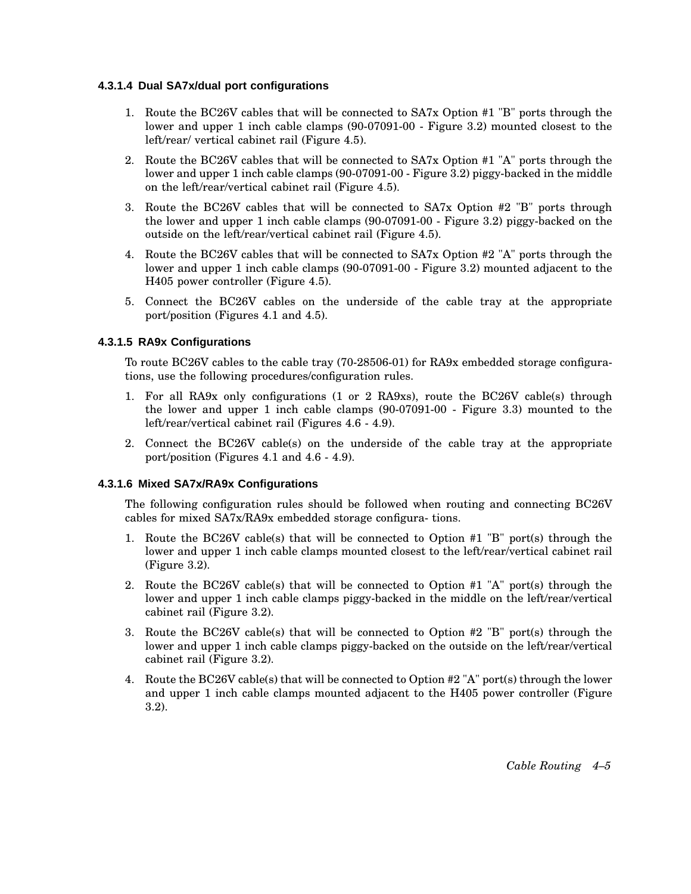#### **4.3.1.4 Dual SA7x/dual port configurations**

- 1. Route the BC26V cables that will be connected to SA7x Option #1 "B" ports through the lower and upper 1 inch cable clamps (90-07091-00 - Figure 3.2) mounted closest to the left/rear/ vertical cabinet rail (Figure 4.5).
- 2. Route the BC26V cables that will be connected to SA7x Option #1 "A" ports through the lower and upper 1 inch cable clamps (90-07091-00 - Figure 3.2) piggy-backed in the middle on the left/rear/vertical cabinet rail (Figure 4.5).
- 3. Route the BC26V cables that will be connected to SA7x Option #2 "B" ports through the lower and upper 1 inch cable clamps (90-07091-00 - Figure 3.2) piggy-backed on the outside on the left/rear/vertical cabinet rail (Figure 4.5).
- 4. Route the BC26V cables that will be connected to SA7x Option #2 "A" ports through the lower and upper 1 inch cable clamps (90-07091-00 - Figure 3.2) mounted adjacent to the H405 power controller (Figure 4.5).
- 5. Connect the BC26V cables on the underside of the cable tray at the appropriate port/position (Figures 4.1 and 4.5).

#### **4.3.1.5 RA9x Configurations**

To route BC26V cables to the cable tray (70-28506-01) for RA9x embedded storage configurations, use the following procedures/configuration rules.

- 1. For all RA9x only configurations (1 or 2 RA9xs), route the BC26V cable(s) through the lower and upper 1 inch cable clamps (90-07091-00 - Figure 3.3) mounted to the left/rear/vertical cabinet rail (Figures 4.6 - 4.9).
- 2. Connect the BC26V cable(s) on the underside of the cable tray at the appropriate port/position (Figures 4.1 and 4.6 - 4.9).

#### **4.3.1.6 Mixed SA7x/RA9x Configurations**

The following configuration rules should be followed when routing and connecting BC26V cables for mixed SA7x/RA9x embedded storage configura- tions.

- 1. Route the BC26V cable(s) that will be connected to Option #1 "B" port(s) through the lower and upper 1 inch cable clamps mounted closest to the left/rear/vertical cabinet rail (Figure 3.2).
- 2. Route the BC26V cable(s) that will be connected to Option #1 "A" port(s) through the lower and upper 1 inch cable clamps piggy-backed in the middle on the left/rear/vertical cabinet rail (Figure 3.2).
- 3. Route the BC26V cable(s) that will be connected to Option #2 "B" port(s) through the lower and upper 1 inch cable clamps piggy-backed on the outside on the left/rear/vertical cabinet rail (Figure 3.2).
- 4. Route the BC26V cable(s) that will be connected to Option #2 "A" port(s) through the lower and upper 1 inch cable clamps mounted adjacent to the H405 power controller (Figure 3.2).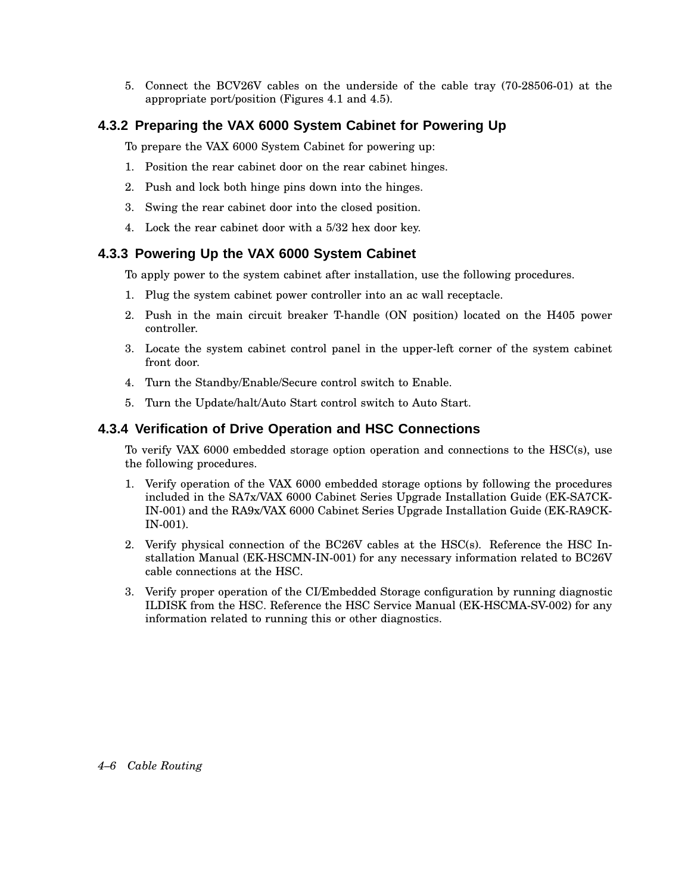5. Connect the BCV26V cables on the underside of the cable tray (70-28506-01) at the appropriate port/position (Figures 4.1 and 4.5).

#### **4.3.2 Preparing the VAX 6000 System Cabinet for Powering Up**

To prepare the VAX 6000 System Cabinet for powering up:

- 1. Position the rear cabinet door on the rear cabinet hinges.
- 2. Push and lock both hinge pins down into the hinges.
- 3. Swing the rear cabinet door into the closed position.
- 4. Lock the rear cabinet door with a 5/32 hex door key.

#### **4.3.3 Powering Up the VAX 6000 System Cabinet**

To apply power to the system cabinet after installation, use the following procedures.

- 1. Plug the system cabinet power controller into an ac wall receptacle.
- 2. Push in the main circuit breaker T-handle (ON position) located on the H405 power controller.
- 3. Locate the system cabinet control panel in the upper-left corner of the system cabinet front door.
- 4. Turn the Standby/Enable/Secure control switch to Enable.
- 5. Turn the Update/halt/Auto Start control switch to Auto Start.

#### **4.3.4 Verification of Drive Operation and HSC Connections**

To verify VAX 6000 embedded storage option operation and connections to the HSC(s), use the following procedures.

- 1. Verify operation of the VAX 6000 embedded storage options by following the procedures included in the SA7x/VAX 6000 Cabinet Series Upgrade Installation Guide (EK-SA7CK-IN-001) and the RA9x/VAX 6000 Cabinet Series Upgrade Installation Guide (EK-RA9CK-IN-001).
- 2. Verify physical connection of the BC26V cables at the HSC(s). Reference the HSC Installation Manual (EK-HSCMN-IN-001) for any necessary information related to BC26V cable connections at the HSC.
- 3. Verify proper operation of the CI/Embedded Storage configuration by running diagnostic ILDISK from the HSC. Reference the HSC Service Manual (EK-HSCMA-SV-002) for any information related to running this or other diagnostics.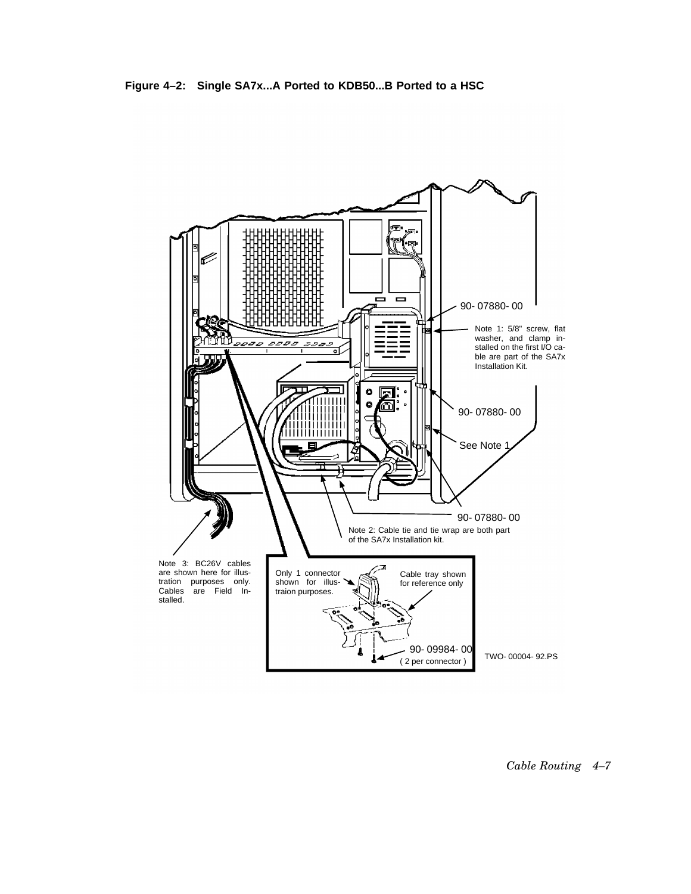

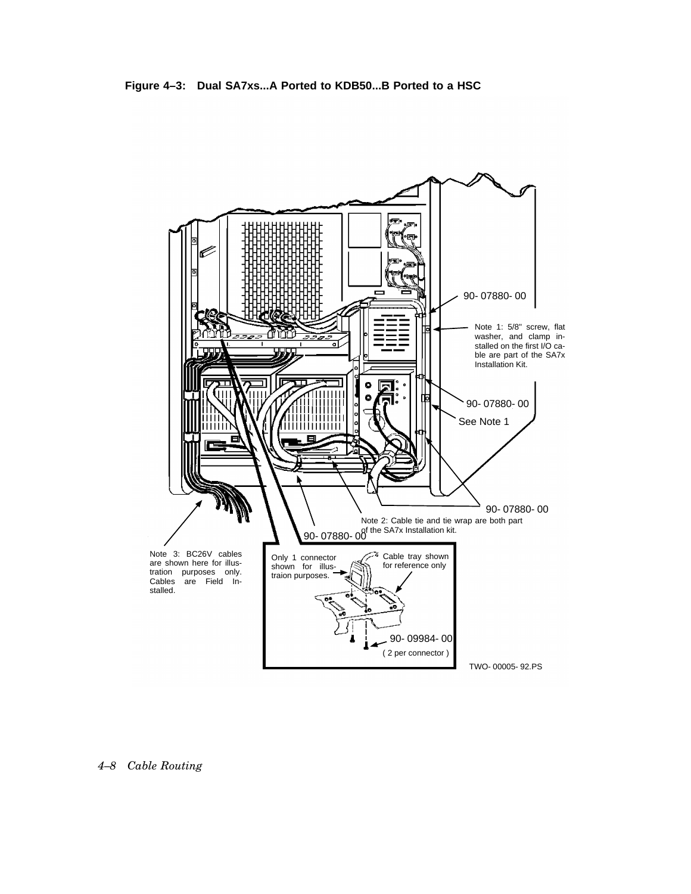

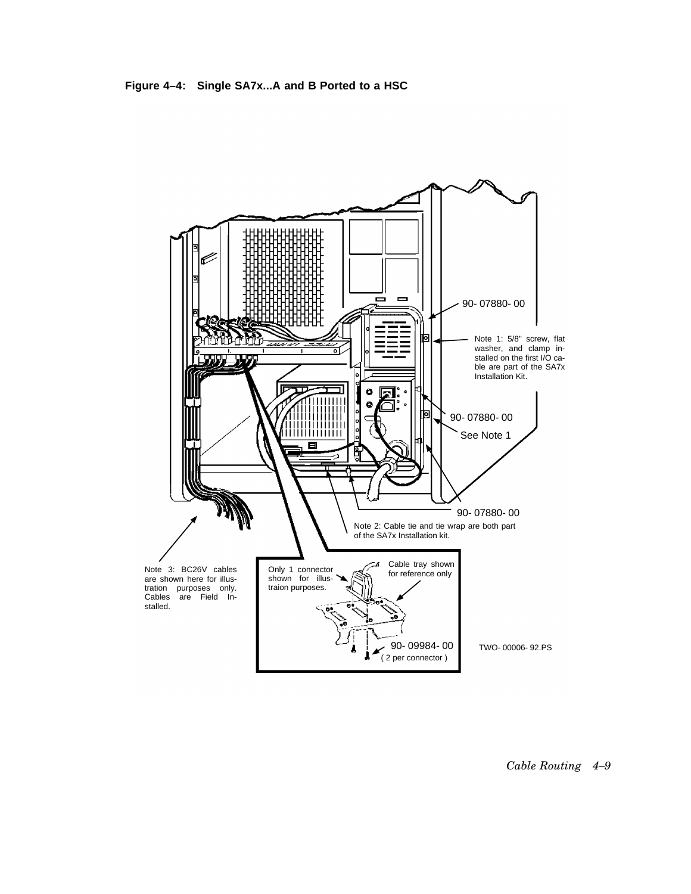**Figure 4–4: Single SA7x...A and B Ported to a HSC**

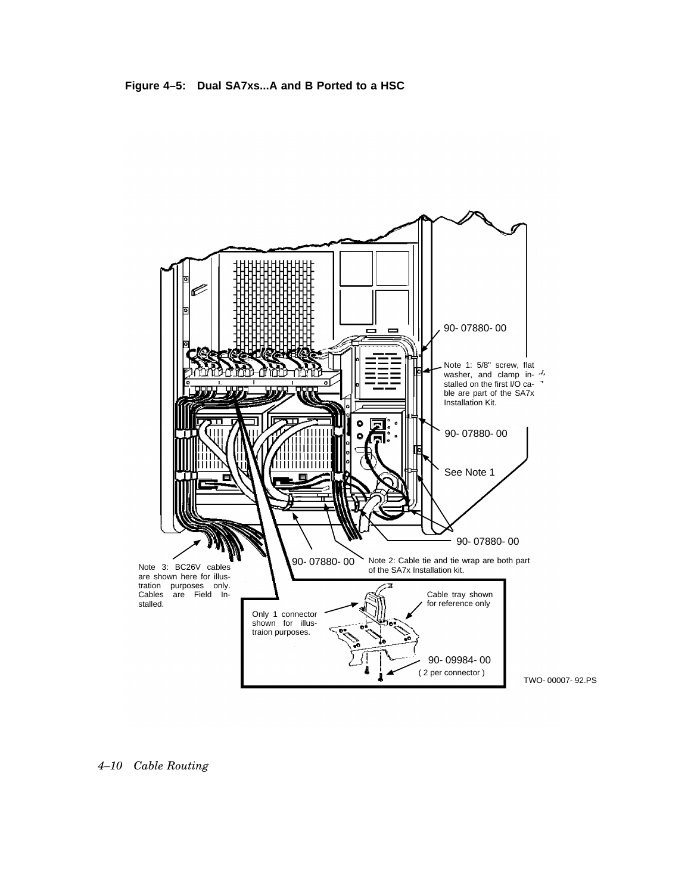



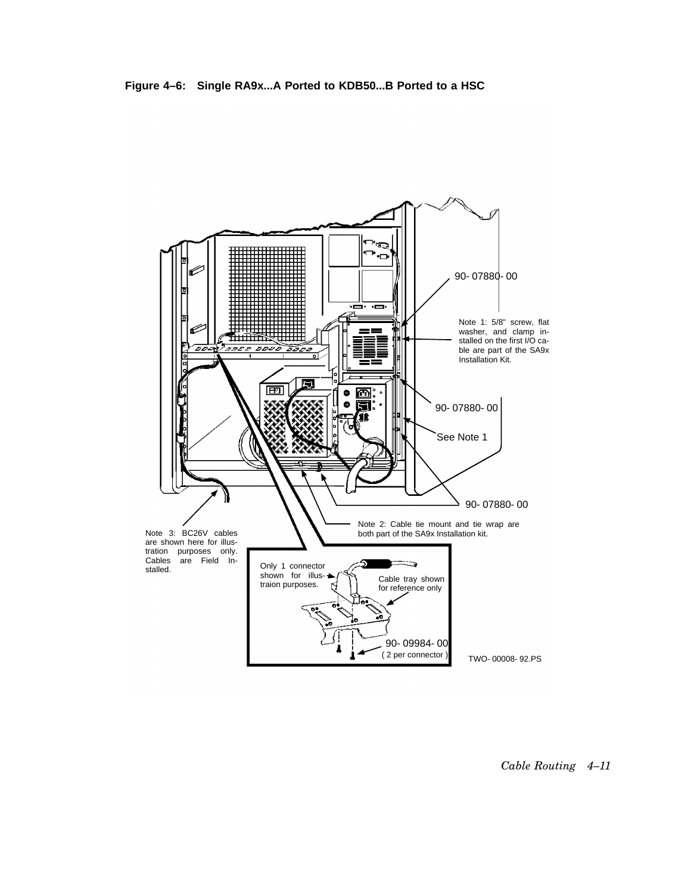

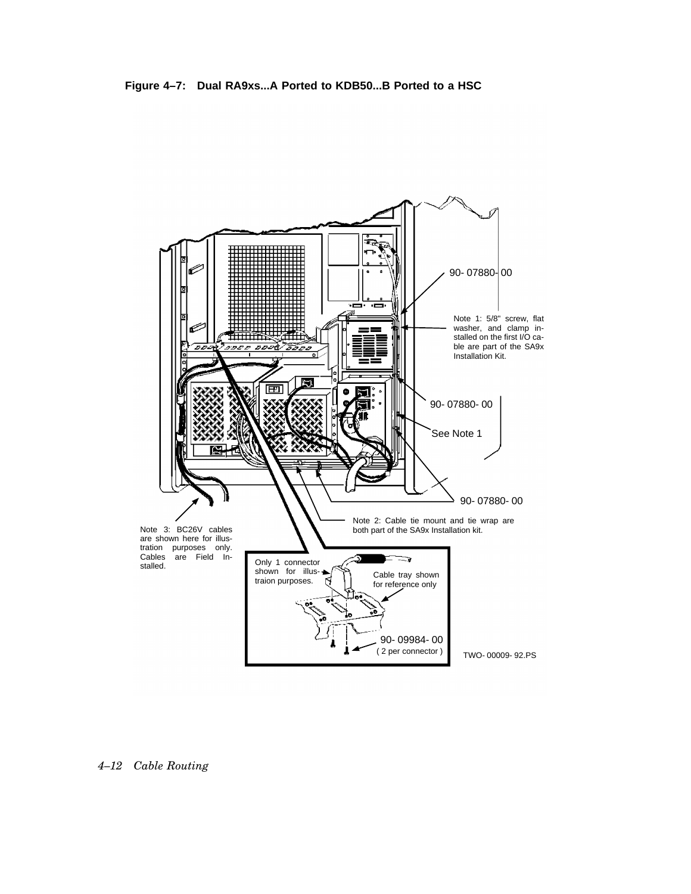



*4–12 Cable Routing*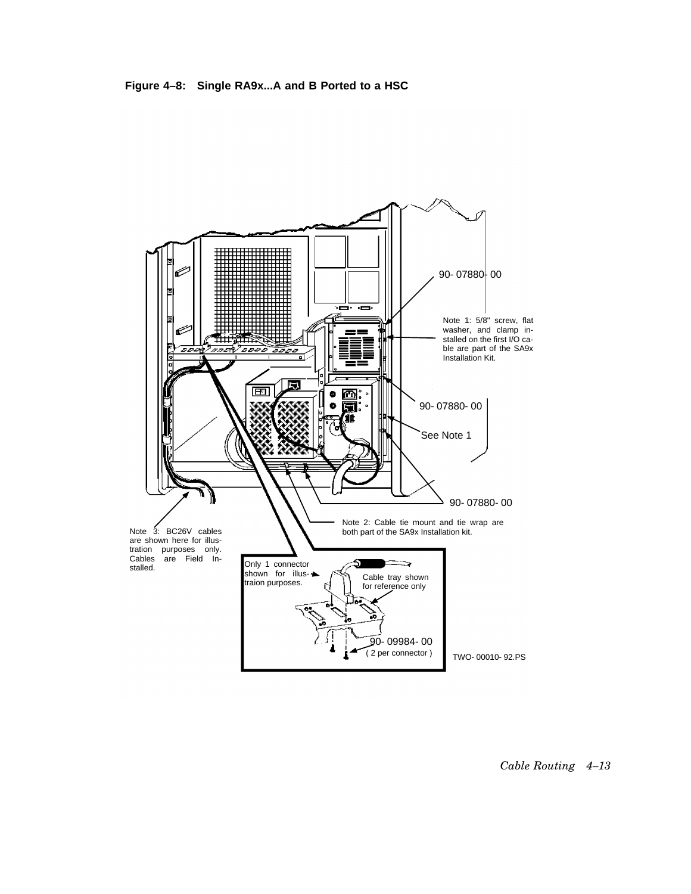

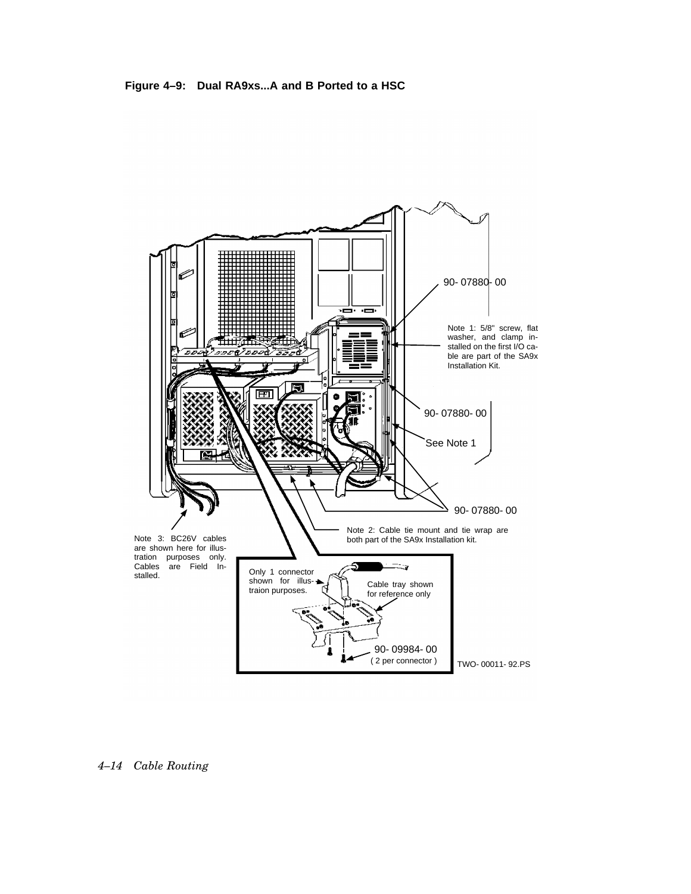



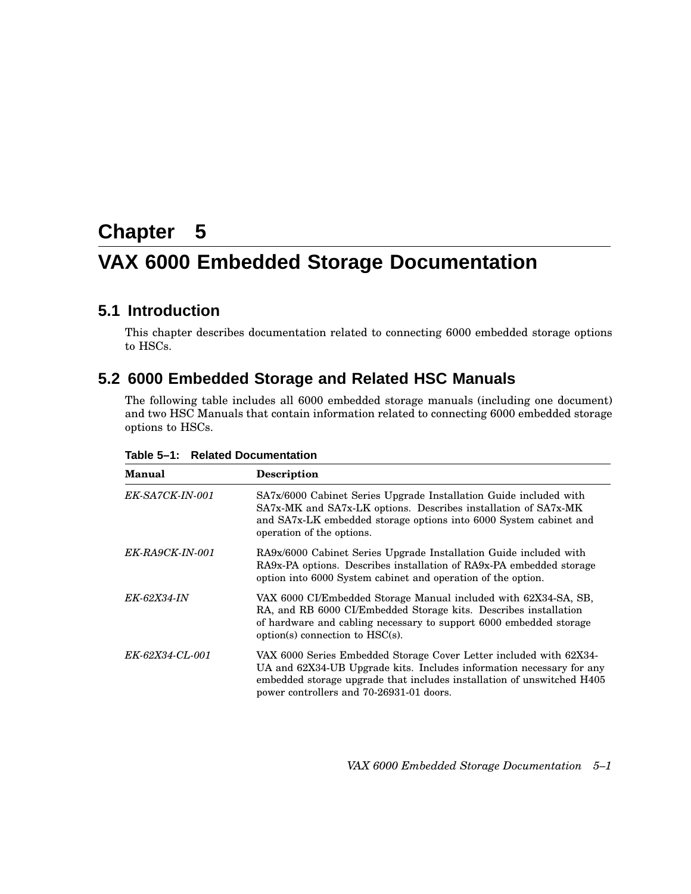# **Chapter 5 VAX 6000 Embedded Storage Documentation**

## **5.1 Introduction**

This chapter describes documentation related to connecting 6000 embedded storage options to HSCs.

## **5.2 6000 Embedded Storage and Related HSC Manuals**

The following table includes all 6000 embedded storage manuals (including one document) and two HSC Manuals that contain information related to connecting 6000 embedded storage options to HSCs.

| <b>Manual</b>      | <b>Description</b>                                                                                                                                                                                                                                               |
|--------------------|------------------------------------------------------------------------------------------------------------------------------------------------------------------------------------------------------------------------------------------------------------------|
| EK-SA7CK-IN-001    | SA7x/6000 Cabinet Series Upgrade Installation Guide included with<br>SA7x-MK and SA7x-LK options. Describes installation of SA7x-MK<br>and SA7x-LK embedded storage options into 6000 System cabinet and<br>operation of the options.                            |
| EK-RA9CK-IN-001    | RA9x/6000 Cabinet Series Upgrade Installation Guide included with<br>RA9x-PA options. Describes installation of RA9x-PA embedded storage<br>option into 6000 System cabinet and operation of the option.                                                         |
| <i>EK-62X34-IN</i> | VAX 6000 CI/Embedded Storage Manual included with 62X34-SA, SB,<br>RA, and RB 6000 CI/Embedded Storage kits. Describes installation<br>of hardware and cabling necessary to support 6000 embedded storage<br>$option(s)$ connection to $HSC(s)$ .                |
| EK-62X34-CL-001    | VAX 6000 Series Embedded Storage Cover Letter included with 62X34-<br>UA and 62X34-UB Upgrade kits. Includes information necessary for any<br>embedded storage upgrade that includes installation of unswitched H405<br>power controllers and 70-26931-01 doors. |

**Table 5–1: Related Documentation**

*VAX 6000 Embedded Storage Documentation 5–1*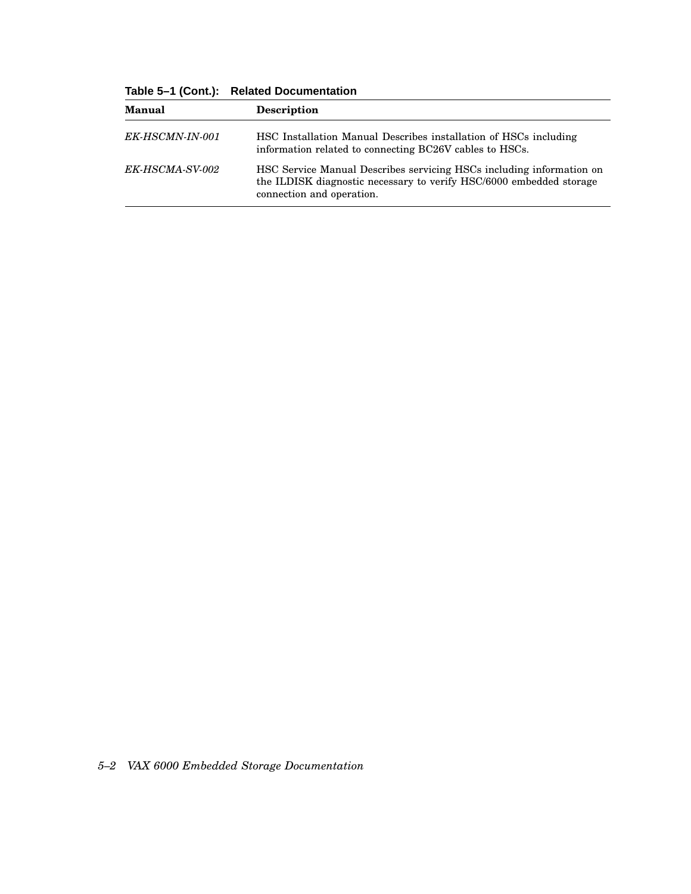| <b>Manual</b>          | Description                                                                                                                                                              |  |
|------------------------|--------------------------------------------------------------------------------------------------------------------------------------------------------------------------|--|
| <i>EK-HSCMN-IN-001</i> | HSC Installation Manual Describes installation of HSCs including<br>information related to connecting BC26V cables to HSCs.                                              |  |
| <i>EK-HSCMA-SV-002</i> | HSC Service Manual Describes servicing HSCs including information on<br>the ILDISK diagnostic necessary to verify HSC/6000 embedded storage<br>connection and operation. |  |

**Table 5–1 (Cont.): Related Documentation**